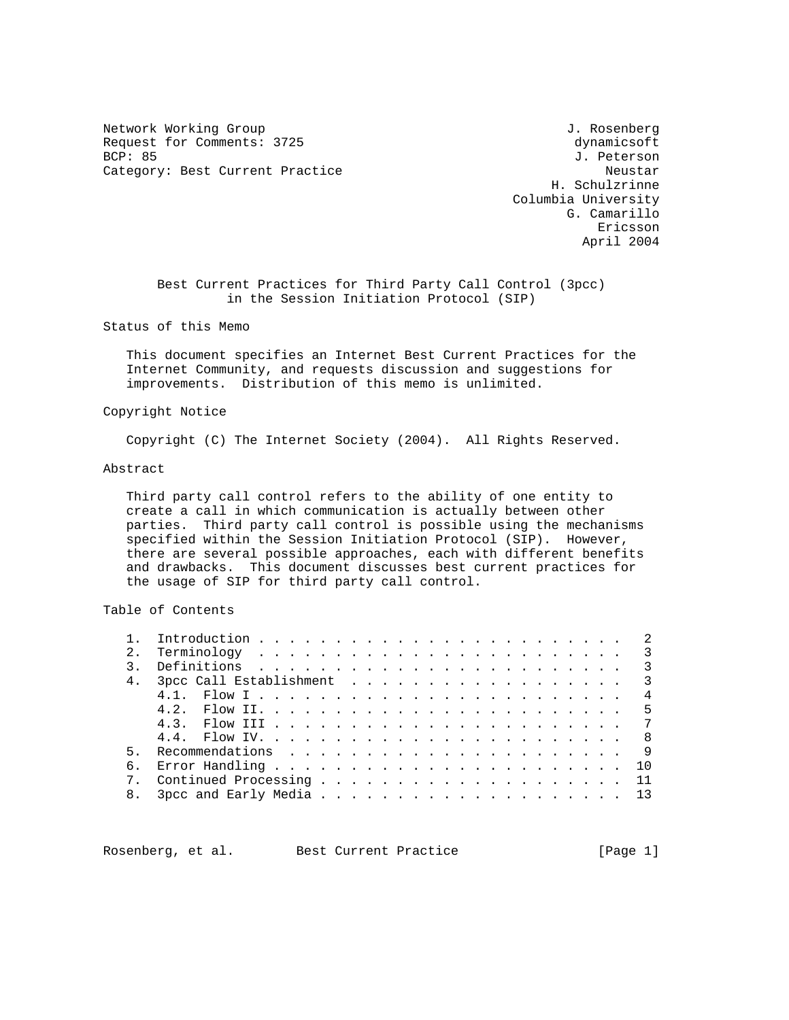Network Working Group 3. 2008 1. Rosenberg 3. Rosenberg 3. Rosenberg Request for Comments: 3725 dynamicsoft<br>BCP: 85 dynamicsoft<br> $J.$  Peterson Category: Best Current Practice Neustar Neustar

J. Peterson H. Schulzrinne Columbia University G. Camarillo eric and the contract of the contract of the contract of the contract of the contract of the contract of the contract of the contract of the contract of the contract of the contract of the contract of the contract of the c April 2004

 Best Current Practices for Third Party Call Control (3pcc) in the Session Initiation Protocol (SIP)

Status of this Memo

 This document specifies an Internet Best Current Practices for the Internet Community, and requests discussion and suggestions for improvements. Distribution of this memo is unlimited.

## Copyright Notice

Copyright (C) The Internet Society (2004). All Rights Reserved.

## Abstract

 Third party call control refers to the ability of one entity to create a call in which communication is actually between other parties. Third party call control is possible using the mechanisms specified within the Session Initiation Protocol (SIP). However, there are several possible approaches, each with different benefits and drawbacks. This document discusses best current practices for the usage of SIP for third party call control.

# Table of Contents

|  | $\mathcal{R}$  |
|--|----------------|
|  | $\mathcal{E}$  |
|  | $\overline{4}$ |
|  | 5              |
|  |                |
|  |                |
|  |                |
|  |                |
|  |                |
|  |                |
|  |                |

Rosenberg, et al. Best Current Practice [Page 1]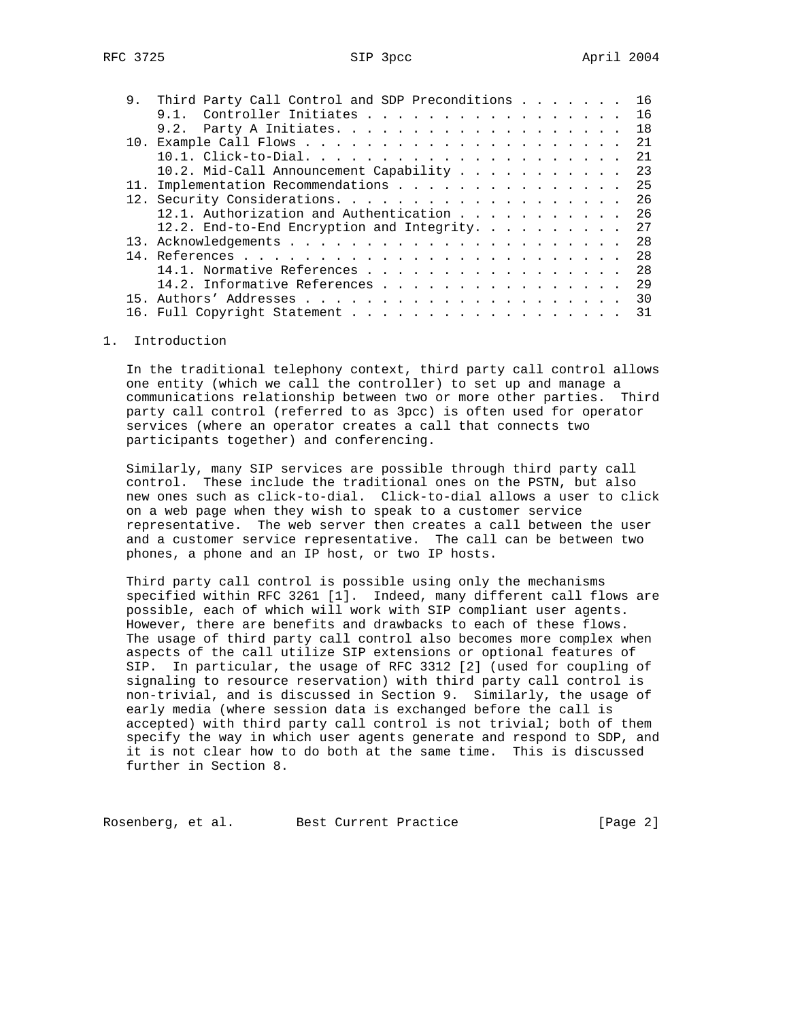| 9. | Third Party Call Control and SDP Preconditions 16 |     |
|----|---------------------------------------------------|-----|
|    | 9.1. Controller Initiates 16                      |     |
|    | 9.2. Party A Initiates. 18                        |     |
|    |                                                   |     |
|    |                                                   |     |
|    | 10.2. Mid-Call Announcement Capability 23         |     |
|    | 11. Implementation Recommendations 25             |     |
|    |                                                   | 26  |
|    | 12.1. Authorization and Authentication            | -26 |
|    | 12.2. End-to-End Encryption and Integrity. 27     |     |
|    |                                                   |     |
|    |                                                   | 28  |
|    | 14.1. Normative References                        | -28 |
|    | 14.2. Informative References                      | 29  |
|    |                                                   | 30  |
|    | 16. Full Copyright Statement 31                   |     |

## 1. Introduction

 In the traditional telephony context, third party call control allows one entity (which we call the controller) to set up and manage a communications relationship between two or more other parties. Third party call control (referred to as 3pcc) is often used for operator services (where an operator creates a call that connects two participants together) and conferencing.

 Similarly, many SIP services are possible through third party call control. These include the traditional ones on the PSTN, but also new ones such as click-to-dial. Click-to-dial allows a user to click on a web page when they wish to speak to a customer service representative. The web server then creates a call between the user and a customer service representative. The call can be between two phones, a phone and an IP host, or two IP hosts.

 Third party call control is possible using only the mechanisms specified within RFC 3261 [1]. Indeed, many different call flows are possible, each of which will work with SIP compliant user agents. However, there are benefits and drawbacks to each of these flows. The usage of third party call control also becomes more complex when aspects of the call utilize SIP extensions or optional features of SIP. In particular, the usage of RFC 3312 [2] (used for coupling of signaling to resource reservation) with third party call control is non-trivial, and is discussed in Section 9. Similarly, the usage of early media (where session data is exchanged before the call is accepted) with third party call control is not trivial; both of them specify the way in which user agents generate and respond to SDP, and it is not clear how to do both at the same time. This is discussed further in Section 8.

Rosenberg, et al. Best Current Practice [Page 2]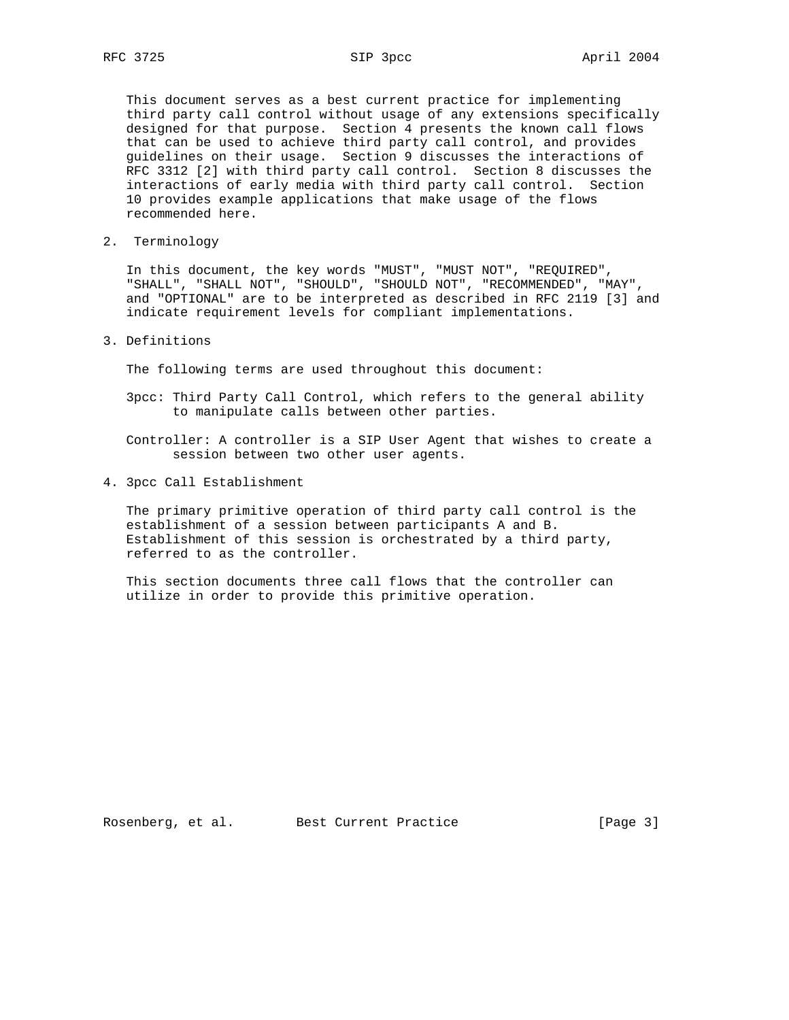This document serves as a best current practice for implementing third party call control without usage of any extensions specifically designed for that purpose. Section 4 presents the known call flows that can be used to achieve third party call control, and provides guidelines on their usage. Section 9 discusses the interactions of RFC 3312 [2] with third party call control. Section 8 discusses the interactions of early media with third party call control. Section 10 provides example applications that make usage of the flows recommended here.

2. Terminology

 In this document, the key words "MUST", "MUST NOT", "REQUIRED", "SHALL", "SHALL NOT", "SHOULD", "SHOULD NOT", "RECOMMENDED", "MAY", and "OPTIONAL" are to be interpreted as described in RFC 2119 [3] and indicate requirement levels for compliant implementations.

3. Definitions

The following terms are used throughout this document:

 3pcc: Third Party Call Control, which refers to the general ability to manipulate calls between other parties.

 Controller: A controller is a SIP User Agent that wishes to create a session between two other user agents.

4. 3pcc Call Establishment

 The primary primitive operation of third party call control is the establishment of a session between participants A and B. Establishment of this session is orchestrated by a third party, referred to as the controller.

 This section documents three call flows that the controller can utilize in order to provide this primitive operation.

Rosenberg, et al. Best Current Practice [Page 3]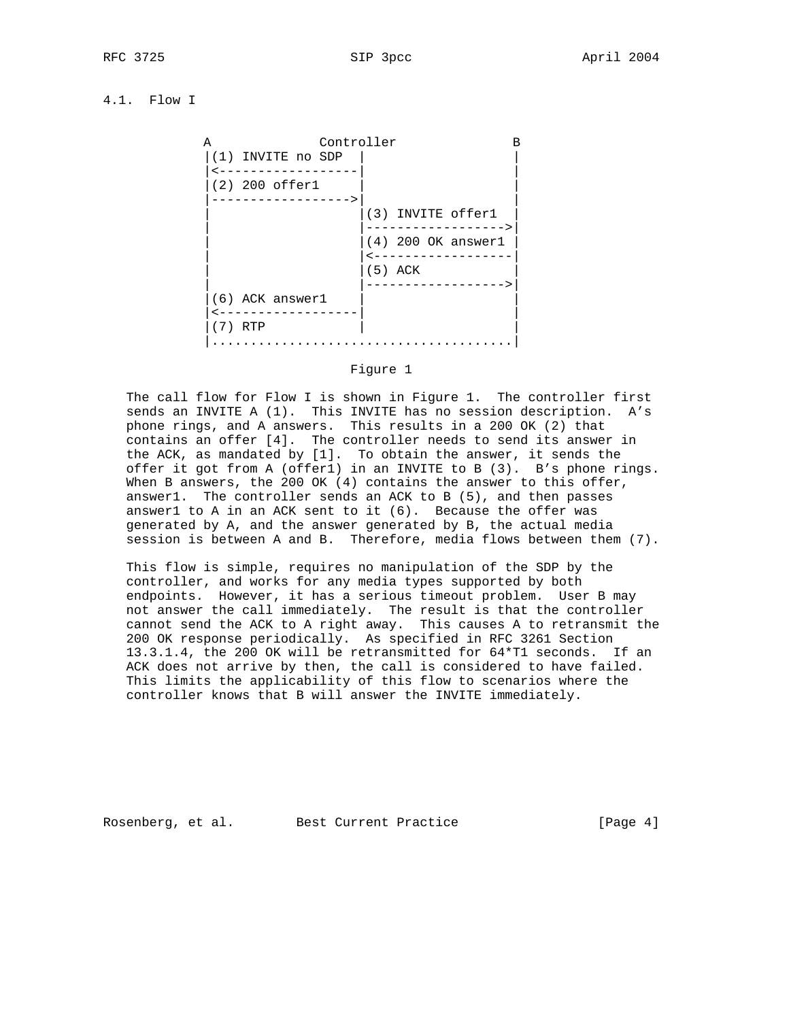4.1. Flow I



#### Figure 1

 The call flow for Flow I is shown in Figure 1. The controller first sends an INVITE A (1). This INVITE has no session description. A's phone rings, and A answers. This results in a 200 OK (2) that contains an offer [4]. The controller needs to send its answer in the ACK, as mandated by [1]. To obtain the answer, it sends the offer it got from A (offer1) in an INVITE to B (3). B's phone rings. When B answers, the 200 OK (4) contains the answer to this offer, answer1. The controller sends an ACK to B (5), and then passes answer1 to A in an ACK sent to it (6). Because the offer was generated by A, and the answer generated by B, the actual media session is between A and B. Therefore, media flows between them (7).

 This flow is simple, requires no manipulation of the SDP by the controller, and works for any media types supported by both endpoints. However, it has a serious timeout problem. User B may not answer the call immediately. The result is that the controller cannot send the ACK to A right away. This causes A to retransmit the 200 OK response periodically. As specified in RFC 3261 Section 13.3.1.4, the 200 OK will be retransmitted for 64\*T1 seconds. If an ACK does not arrive by then, the call is considered to have failed. This limits the applicability of this flow to scenarios where the controller knows that B will answer the INVITE immediately.

Rosenberg, et al. Best Current Practice [Page 4]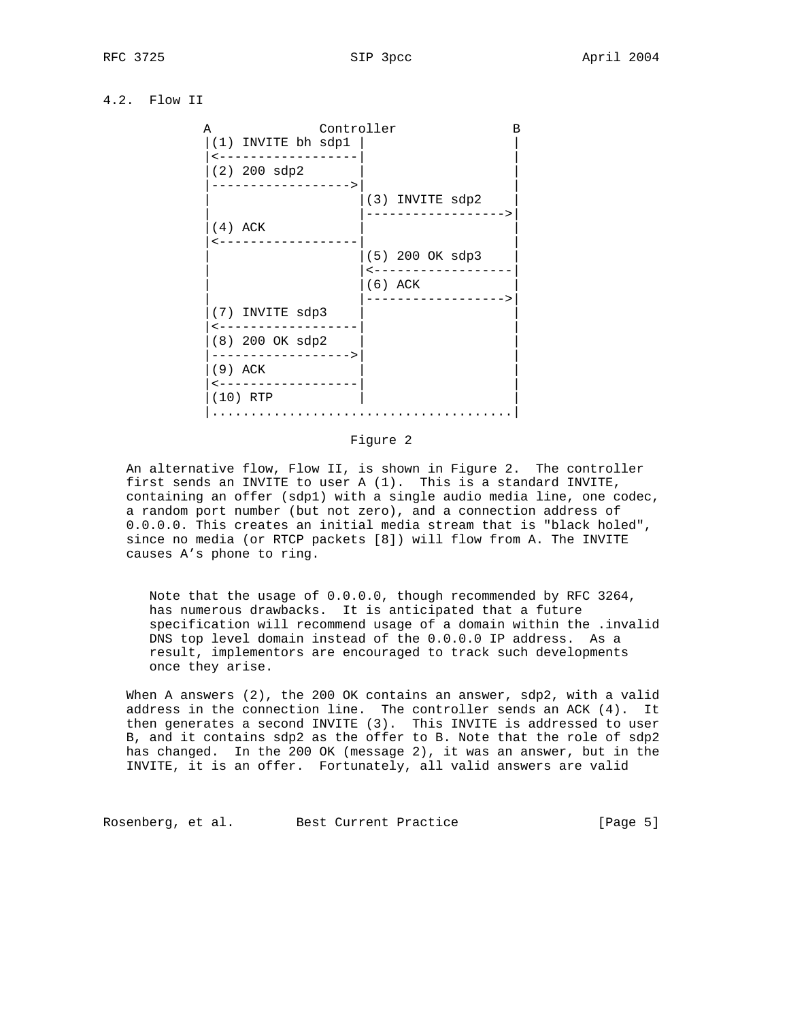# 4.2. Flow II



## Figure 2

 An alternative flow, Flow II, is shown in Figure 2. The controller first sends an INVITE to user A (1). This is a standard INVITE, containing an offer (sdp1) with a single audio media line, one codec, a random port number (but not zero), and a connection address of 0.0.0.0. This creates an initial media stream that is "black holed", since no media (or RTCP packets [8]) will flow from A. The INVITE causes A's phone to ring.

 Note that the usage of 0.0.0.0, though recommended by RFC 3264, has numerous drawbacks. It is anticipated that a future specification will recommend usage of a domain within the .invalid DNS top level domain instead of the 0.0.0.0 IP address. As a result, implementors are encouraged to track such developments once they arise.

 When A answers (2), the 200 OK contains an answer, sdp2, with a valid address in the connection line. The controller sends an ACK (4). It then generates a second INVITE (3). This INVITE is addressed to user B, and it contains sdp2 as the offer to B. Note that the role of sdp2 has changed. In the 200 OK (message 2), it was an answer, but in the INVITE, it is an offer. Fortunately, all valid answers are valid

Rosenberg, et al. Best Current Practice [Page 5]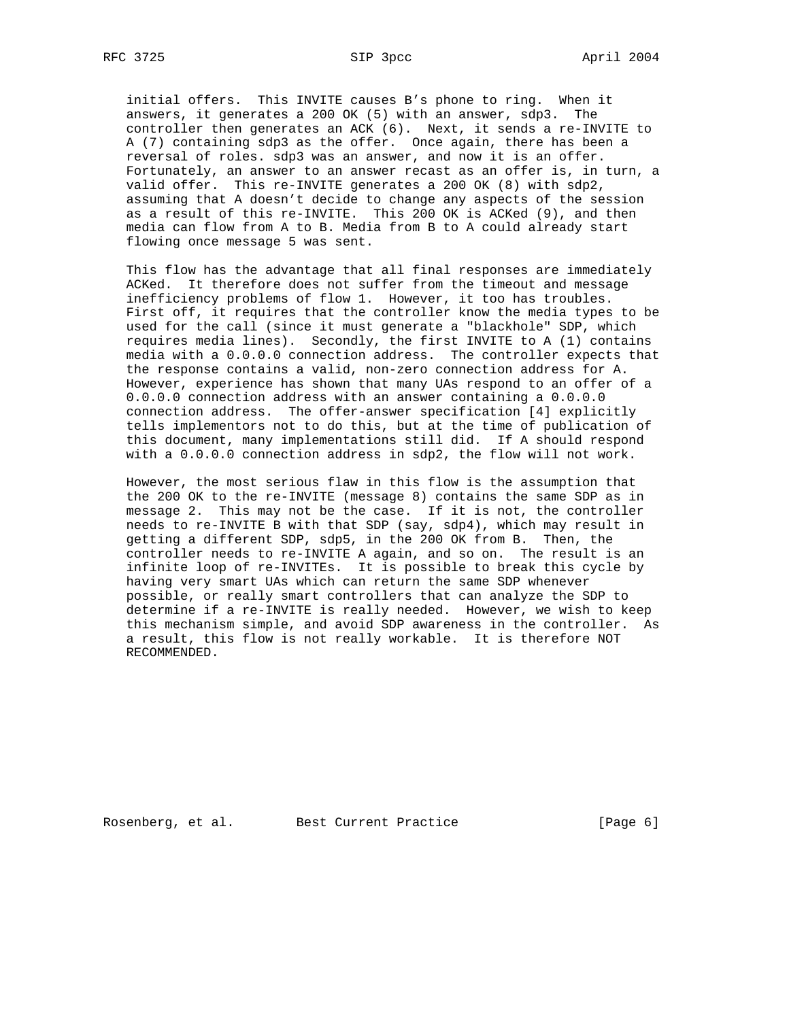initial offers. This INVITE causes B's phone to ring. When it answers, it generates a 200 OK (5) with an answer, sdp3. The controller then generates an ACK (6). Next, it sends a re-INVITE to A (7) containing sdp3 as the offer. Once again, there has been a reversal of roles. sdp3 was an answer, and now it is an offer. Fortunately, an answer to an answer recast as an offer is, in turn, a valid offer. This re-INVITE generates a 200 OK (8) with sdp2, assuming that A doesn't decide to change any aspects of the session as a result of this re-INVITE. This 200 OK is ACKed (9), and then media can flow from A to B. Media from B to A could already start flowing once message 5 was sent.

 This flow has the advantage that all final responses are immediately ACKed. It therefore does not suffer from the timeout and message inefficiency problems of flow 1. However, it too has troubles. First off, it requires that the controller know the media types to be used for the call (since it must generate a "blackhole" SDP, which requires media lines). Secondly, the first INVITE to A (1) contains media with a 0.0.0.0 connection address. The controller expects that the response contains a valid, non-zero connection address for A. However, experience has shown that many UAs respond to an offer of a 0.0.0.0 connection address with an answer containing a 0.0.0.0 connection address. The offer-answer specification [4] explicitly tells implementors not to do this, but at the time of publication of this document, many implementations still did. If A should respond with a 0.0.0.0 connection address in sdp2, the flow will not work.

 However, the most serious flaw in this flow is the assumption that the 200 OK to the re-INVITE (message 8) contains the same SDP as in message 2. This may not be the case. If it is not, the controller needs to re-INVITE B with that SDP (say, sdp4), which may result in getting a different SDP, sdp5, in the 200 OK from B. Then, the controller needs to re-INVITE A again, and so on. The result is an infinite loop of re-INVITEs. It is possible to break this cycle by having very smart UAs which can return the same SDP whenever possible, or really smart controllers that can analyze the SDP to determine if a re-INVITE is really needed. However, we wish to keep this mechanism simple, and avoid SDP awareness in the controller. As a result, this flow is not really workable. It is therefore NOT RECOMMENDED.

Rosenberg, et al. Best Current Practice [Page 6]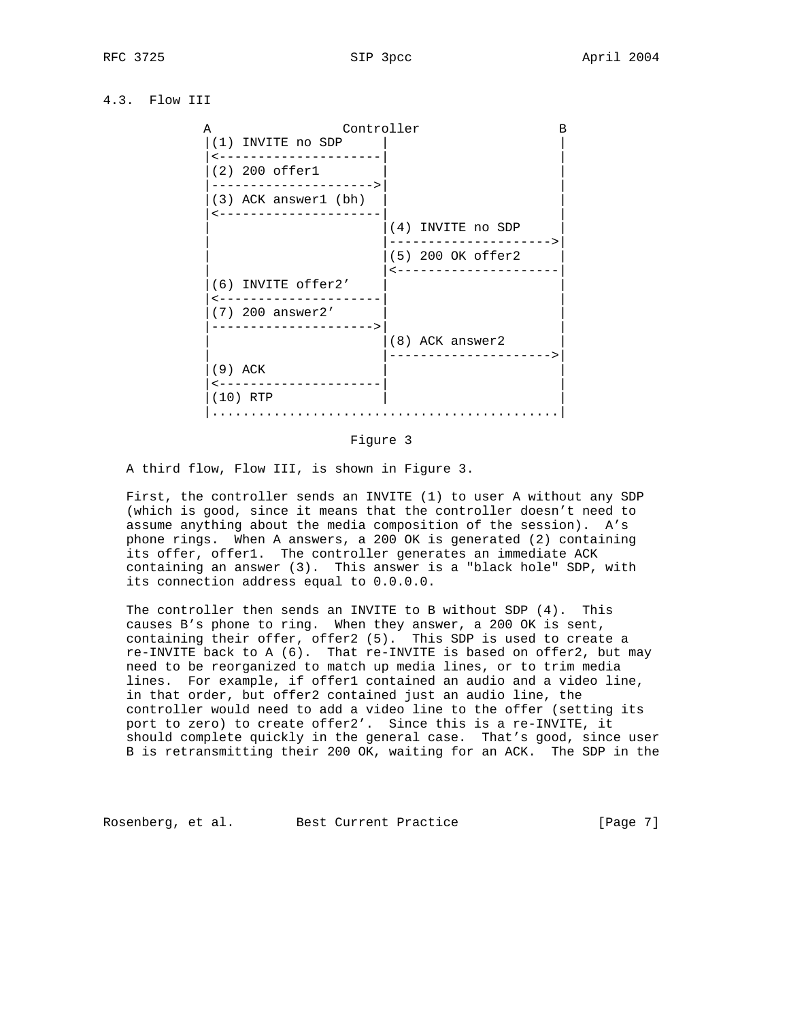# 4.3. Flow III



Figure 3

A third flow, Flow III, is shown in Figure 3.

 First, the controller sends an INVITE (1) to user A without any SDP (which is good, since it means that the controller doesn't need to assume anything about the media composition of the session). A's phone rings. When A answers, a 200 OK is generated (2) containing its offer, offer1. The controller generates an immediate ACK containing an answer (3). This answer is a "black hole" SDP, with its connection address equal to 0.0.0.0.

 The controller then sends an INVITE to B without SDP (4). This causes B's phone to ring. When they answer, a 200 OK is sent, containing their offer, offer2 (5). This SDP is used to create a re-INVITE back to A (6). That re-INVITE is based on offer2, but may need to be reorganized to match up media lines, or to trim media lines. For example, if offer1 contained an audio and a video line, in that order, but offer2 contained just an audio line, the controller would need to add a video line to the offer (setting its port to zero) to create offer2'. Since this is a re-INVITE, it should complete quickly in the general case. That's good, since user B is retransmitting their 200 OK, waiting for an ACK. The SDP in the

Rosenberg, et al. Best Current Practice [Page 7]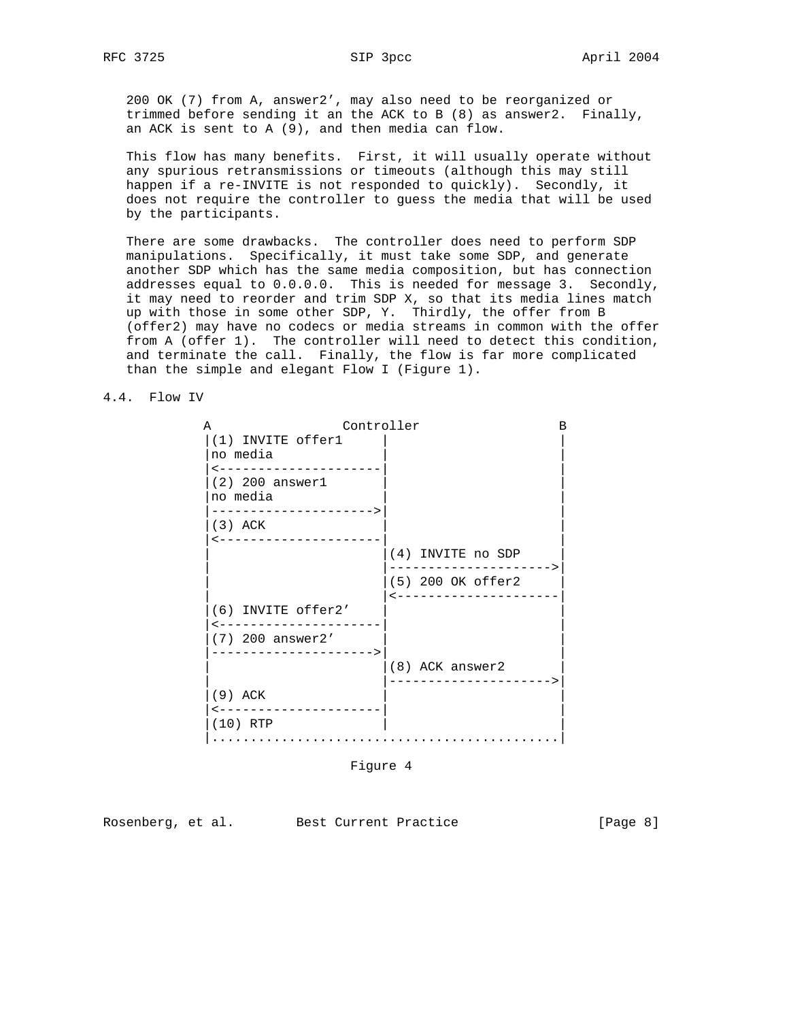200 OK (7) from A, answer2', may also need to be reorganized or trimmed before sending it an the ACK to B (8) as answer2. Finally, an ACK is sent to A (9), and then media can flow.

 This flow has many benefits. First, it will usually operate without any spurious retransmissions or timeouts (although this may still happen if a re-INVITE is not responded to quickly). Secondly, it does not require the controller to guess the media that will be used by the participants.

 There are some drawbacks. The controller does need to perform SDP manipulations. Specifically, it must take some SDP, and generate another SDP which has the same media composition, but has connection addresses equal to 0.0.0.0. This is needed for message 3. Secondly, it may need to reorder and trim SDP X, so that its media lines match up with those in some other SDP, Y. Thirdly, the offer from B (offer2) may have no codecs or media streams in common with the offer from A (offer 1). The controller will need to detect this condition, and terminate the call. Finally, the flow is far more complicated than the simple and elegant Flow I (Figure 1).

<sup>4.4.</sup> Flow IV

| Α                                              | Controller |                     | в |
|------------------------------------------------|------------|---------------------|---|
| (1) INVITE offer1<br>no media<br>$\lt - - - -$ |            |                     |   |
| $(2)$ 200 answer1<br>no media                  |            |                     |   |
| $(3)$ ACK                                      |            |                     |   |
|                                                |            | $(4)$ INVITE no SDP |   |
|                                                |            | (5) 200 OK offer2   |   |
| (6) INVITE offer2'                             |            |                     |   |
| (7) 200 answer2'                               |            |                     |   |
|                                                |            | (8) ACK answer2     |   |
| $(9)$ ACK                                      |            |                     |   |
| $(10)$ RTP                                     |            |                     |   |
|                                                |            |                     |   |

Figure 4

Rosenberg, et al. Best Current Practice [Page 8]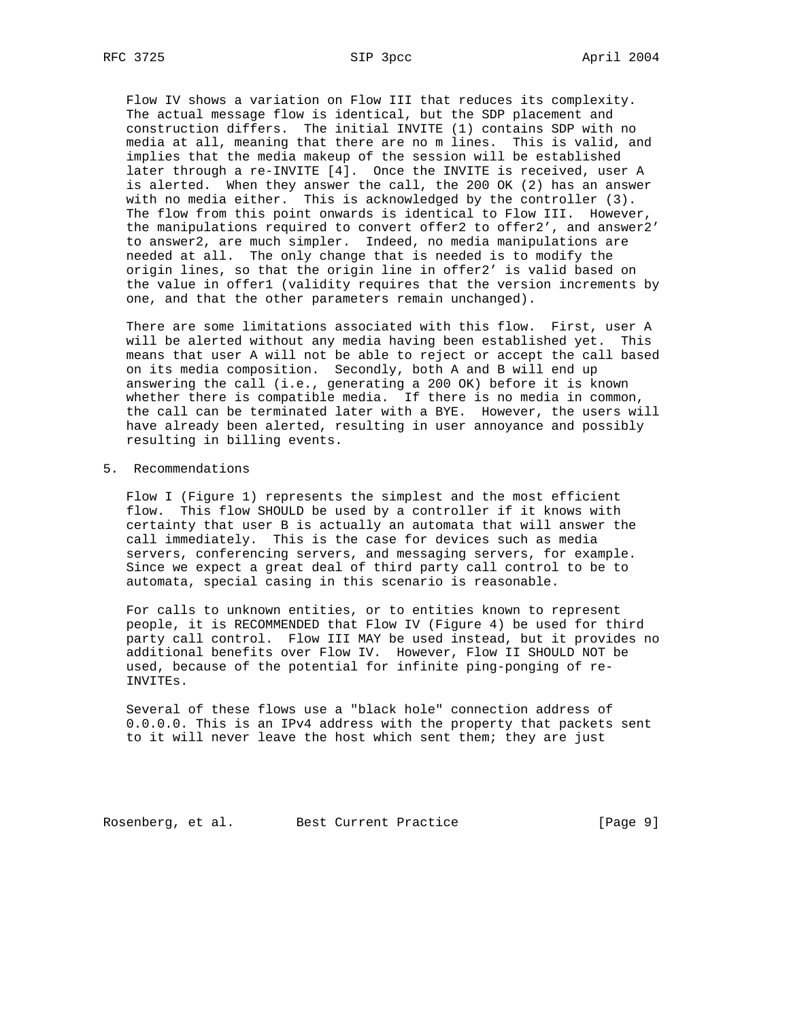Flow IV shows a variation on Flow III that reduces its complexity. The actual message flow is identical, but the SDP placement and construction differs. The initial INVITE (1) contains SDP with no media at all, meaning that there are no m lines. This is valid, and implies that the media makeup of the session will be established later through a re-INVITE [4]. Once the INVITE is received, user A is alerted. When they answer the call, the 200 OK (2) has an answer with no media either. This is acknowledged by the controller (3). The flow from this point onwards is identical to Flow III. However, the manipulations required to convert offer2 to offer2', and answer2' to answer2, are much simpler. Indeed, no media manipulations are needed at all. The only change that is needed is to modify the origin lines, so that the origin line in offer2' is valid based on the value in offer1 (validity requires that the version increments by one, and that the other parameters remain unchanged).

 There are some limitations associated with this flow. First, user A will be alerted without any media having been established yet. This means that user A will not be able to reject or accept the call based on its media composition. Secondly, both A and B will end up answering the call (i.e., generating a 200 OK) before it is known whether there is compatible media. If there is no media in common, the call can be terminated later with a BYE. However, the users will have already been alerted, resulting in user annoyance and possibly resulting in billing events.

#### 5. Recommendations

 Flow I (Figure 1) represents the simplest and the most efficient flow. This flow SHOULD be used by a controller if it knows with certainty that user B is actually an automata that will answer the call immediately. This is the case for devices such as media servers, conferencing servers, and messaging servers, for example. Since we expect a great deal of third party call control to be to automata, special casing in this scenario is reasonable.

 For calls to unknown entities, or to entities known to represent people, it is RECOMMENDED that Flow IV (Figure 4) be used for third party call control. Flow III MAY be used instead, but it provides no additional benefits over Flow IV. However, Flow II SHOULD NOT be used, because of the potential for infinite ping-ponging of re- INVITEs.

 Several of these flows use a "black hole" connection address of 0.0.0.0. This is an IPv4 address with the property that packets sent to it will never leave the host which sent them; they are just

Rosenberg, et al. Best Current Practice [Page 9]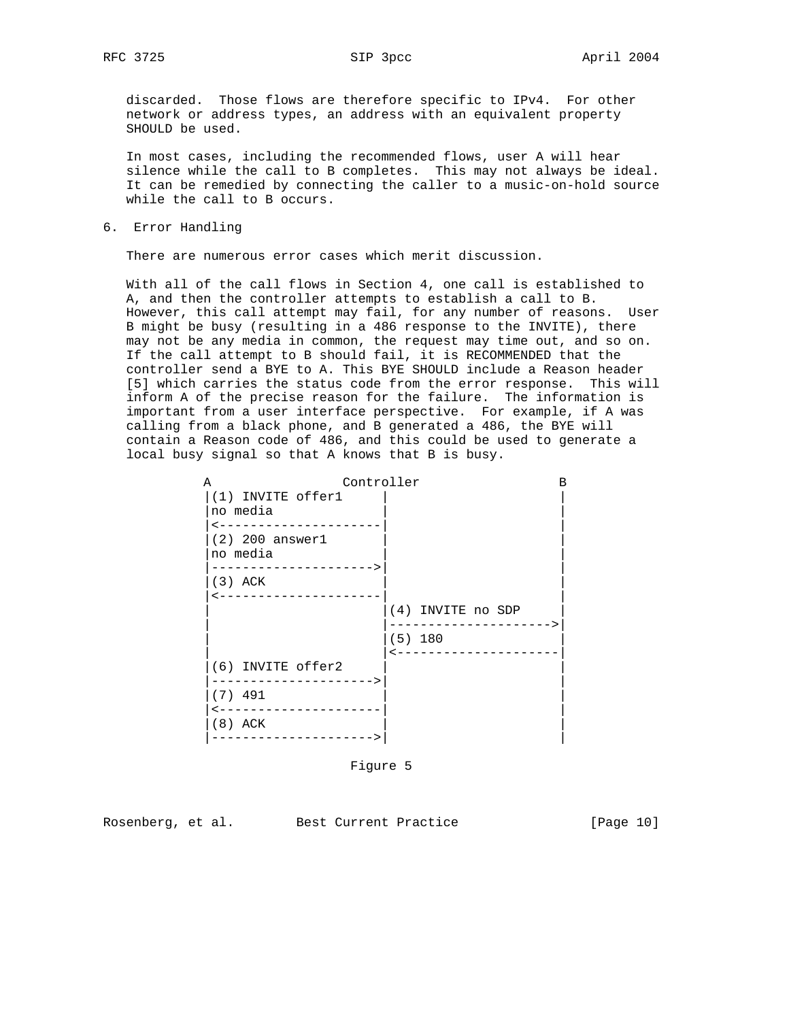discarded. Those flows are therefore specific to IPv4. For other network or address types, an address with an equivalent property SHOULD be used.

 In most cases, including the recommended flows, user A will hear silence while the call to B completes. This may not always be ideal. It can be remedied by connecting the caller to a music-on-hold source while the call to B occurs.

6. Error Handling

There are numerous error cases which merit discussion.

 With all of the call flows in Section 4, one call is established to A, and then the controller attempts to establish a call to B. However, this call attempt may fail, for any number of reasons. User B might be busy (resulting in a 486 response to the INVITE), there may not be any media in common, the request may time out, and so on. If the call attempt to B should fail, it is RECOMMENDED that the controller send a BYE to A. This BYE SHOULD include a Reason header [5] which carries the status code from the error response. This will inform A of the precise reason for the failure. The information is important from a user interface perspective. For example, if A was calling from a black phone, and B generated a 486, the BYE will contain a Reason code of 486, and this could be used to generate a local busy signal so that A knows that B is busy.

| Α |                               | Controller        | в |
|---|-------------------------------|-------------------|---|
|   | (1) INVITE offer1<br>no media |                   |   |
|   |                               |                   |   |
|   | $(2)$ 200 answer1<br>no media |                   |   |
|   | $(3)$ ACK                     |                   |   |
|   |                               | (4) INVITE no SDP |   |
|   |                               | $(5)$ 180         |   |
|   | (6) INVITE offer2             |                   |   |
|   | $(7)$ 491                     |                   |   |
|   | $(8)$ ACK                     |                   |   |
|   |                               |                   |   |

Figure 5

Rosenberg, et al. Best Current Practice [Page 10]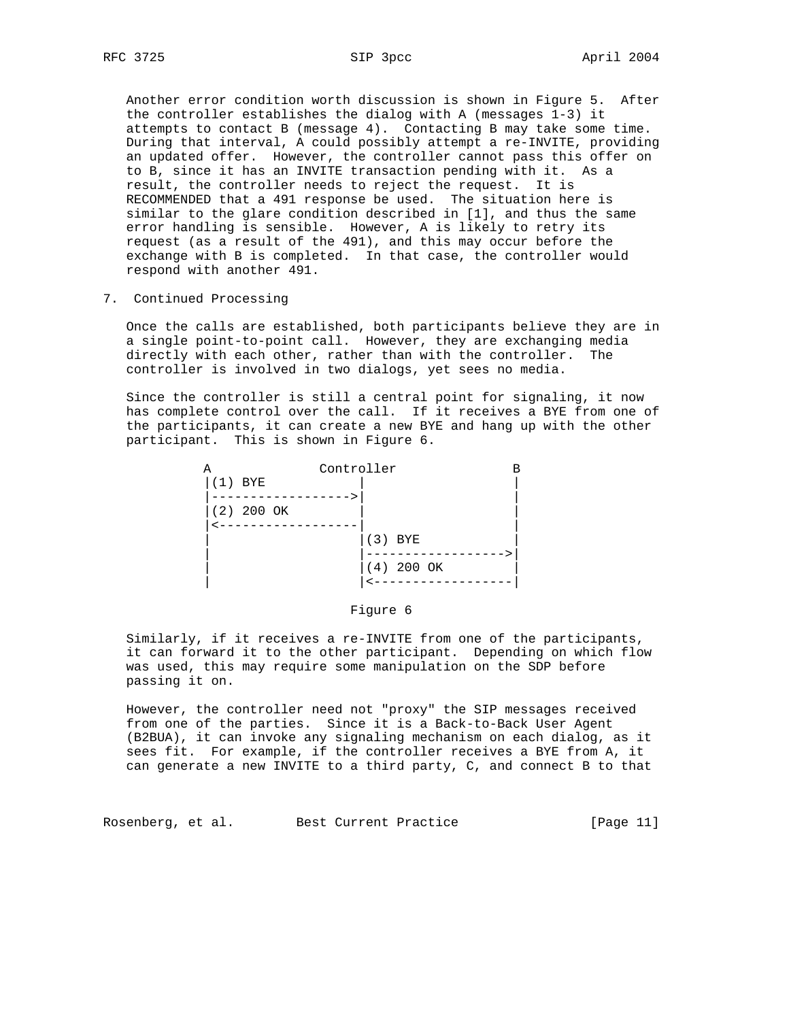Another error condition worth discussion is shown in Figure 5. After the controller establishes the dialog with A (messages 1-3) it attempts to contact B (message 4). Contacting B may take some time. During that interval, A could possibly attempt a re-INVITE, providing an updated offer. However, the controller cannot pass this offer on to B, since it has an INVITE transaction pending with it. As a result, the controller needs to reject the request. It is RECOMMENDED that a 491 response be used. The situation here is similar to the glare condition described in [1], and thus the same error handling is sensible. However, A is likely to retry its request (as a result of the 491), and this may occur before the exchange with B is completed. In that case, the controller would respond with another 491.

7. Continued Processing

 Once the calls are established, both participants believe they are in a single point-to-point call. However, they are exchanging media directly with each other, rather than with the controller. The controller is involved in two dialogs, yet sees no media.

 Since the controller is still a central point for signaling, it now has complete control over the call. If it receives a BYE from one of the participants, it can create a new BYE and hang up with the other participant. This is shown in Figure 6.



## Figure 6

 Similarly, if it receives a re-INVITE from one of the participants, it can forward it to the other participant. Depending on which flow was used, this may require some manipulation on the SDP before passing it on.

 However, the controller need not "proxy" the SIP messages received from one of the parties. Since it is a Back-to-Back User Agent (B2BUA), it can invoke any signaling mechanism on each dialog, as it sees fit. For example, if the controller receives a BYE from A, it can generate a new INVITE to a third party, C, and connect B to that

Rosenberg, et al. Best Current Practice [Page 11]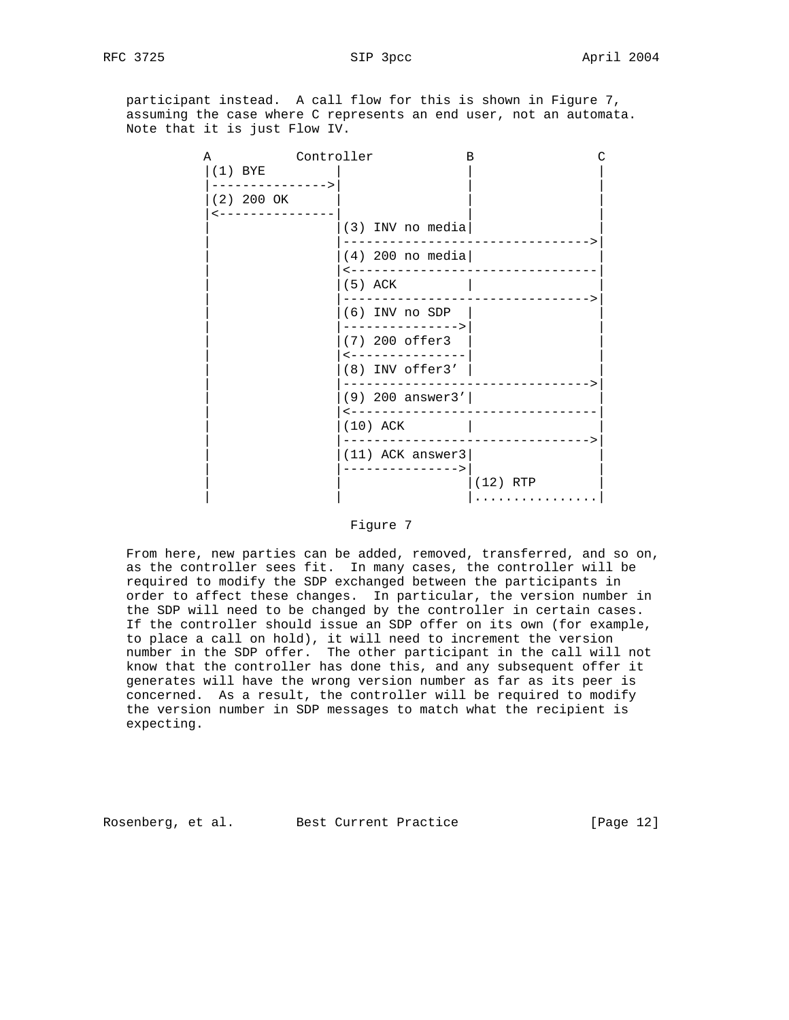participant instead. A call flow for this is shown in Figure 7, assuming the case where C represents an end user, not an automata. Note that it is just Flow IV.

| Controller<br>Α                       |                                | B                                  |            |  |
|---------------------------------------|--------------------------------|------------------------------------|------------|--|
| $(1)$ BYE<br>-------------->          |                                |                                    |            |  |
| $(2)$ 200 OK<br>$- - - - - - - - - -$ |                                |                                    |            |  |
|                                       |                                | $(3)$ INV no media                 |            |  |
|                                       | ------------                   | $(4)$ 200 no media                 |            |  |
|                                       | (5) ACK                        | ___________________                |            |  |
|                                       |                                | (6) INV no SDP<br>---------------> |            |  |
|                                       | --------------                 | (7) 200 offer3                     |            |  |
|                                       |                                | $(8)$ INV offer3'                  |            |  |
|                                       | $\leftarrow$ - - - - - - - - - | $(9)$ 200 answer3'                 |            |  |
|                                       | $(10)$ ACK                     |                                    |            |  |
|                                       |                                | (11) ACK answer3                   |            |  |
|                                       |                                |                                    | $(12)$ RTP |  |
|                                       |                                |                                    |            |  |

# Figure 7

 From here, new parties can be added, removed, transferred, and so on, as the controller sees fit. In many cases, the controller will be required to modify the SDP exchanged between the participants in order to affect these changes. In particular, the version number in the SDP will need to be changed by the controller in certain cases. If the controller should issue an SDP offer on its own (for example, to place a call on hold), it will need to increment the version number in the SDP offer. The other participant in the call will not know that the controller has done this, and any subsequent offer it generates will have the wrong version number as far as its peer is concerned. As a result, the controller will be required to modify the version number in SDP messages to match what the recipient is expecting.

Rosenberg, et al. Best Current Practice [Page 12]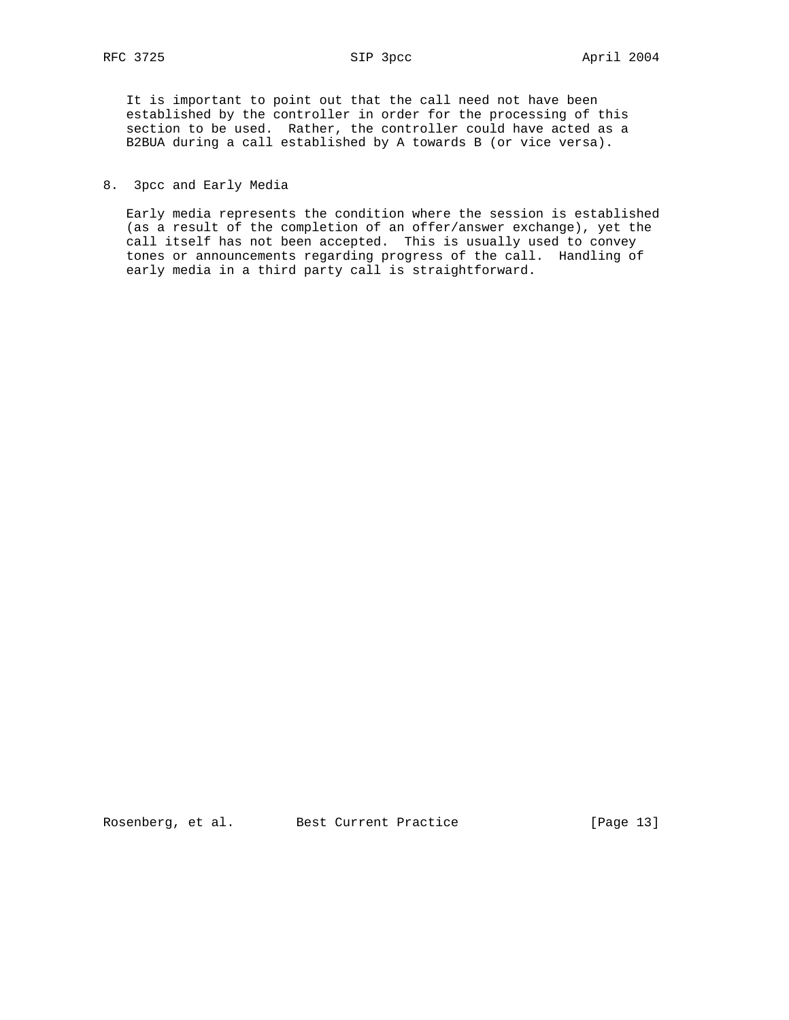It is important to point out that the call need not have been established by the controller in order for the processing of this section to be used. Rather, the controller could have acted as a B2BUA during a call established by A towards B (or vice versa).

# 8. 3pcc and Early Media

 Early media represents the condition where the session is established (as a result of the completion of an offer/answer exchange), yet the call itself has not been accepted. This is usually used to convey tones or announcements regarding progress of the call. Handling of early media in a third party call is straightforward.

Rosenberg, et al. Best Current Practice [Page 13]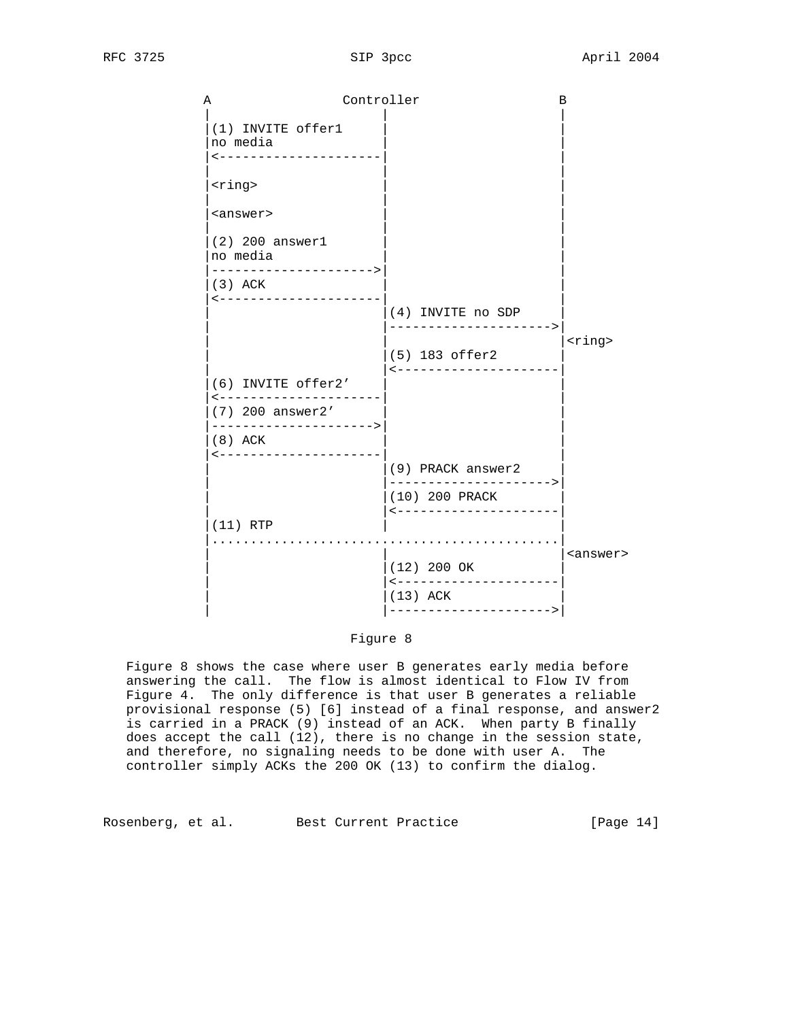A Controller B | | |  $(1)$  INVITE offer1 no media |<---------------------| | | | | <ring> | | | |<answer> | | | | |  $(2)$  200 answerl no media |--------------------->| | (3) ACK |<---------------------| |  $|(4)$  INVITE no SDP | |--------------------->| | | |<ring> | |(5) 183 offer2 | | <--------------------- |(6) INVITE offer2' | | |<---------------------| | (7) 200 answer2' |--------------------->| | (8) ACK |<---------------------| | | |(9) PRACK answer2 | | |--------------------->| | |(10) 200 PRACK | | |<---------------------|  $|(11)$  RTP |.............................................| | <answer>  $(12)$  200 OK | <--------------------- $(13)$  ACK | |--------------------->|

## Figure 8

 Figure 8 shows the case where user B generates early media before answering the call. The flow is almost identical to Flow IV from Figure 4. The only difference is that user B generates a reliable provisional response (5) [6] instead of a final response, and answer2 is carried in a PRACK (9) instead of an ACK. When party B finally does accept the call (12), there is no change in the session state, and therefore, no signaling needs to be done with user A. The controller simply ACKs the 200 OK (13) to confirm the dialog.

Rosenberg, et al. Best Current Practice [Page 14]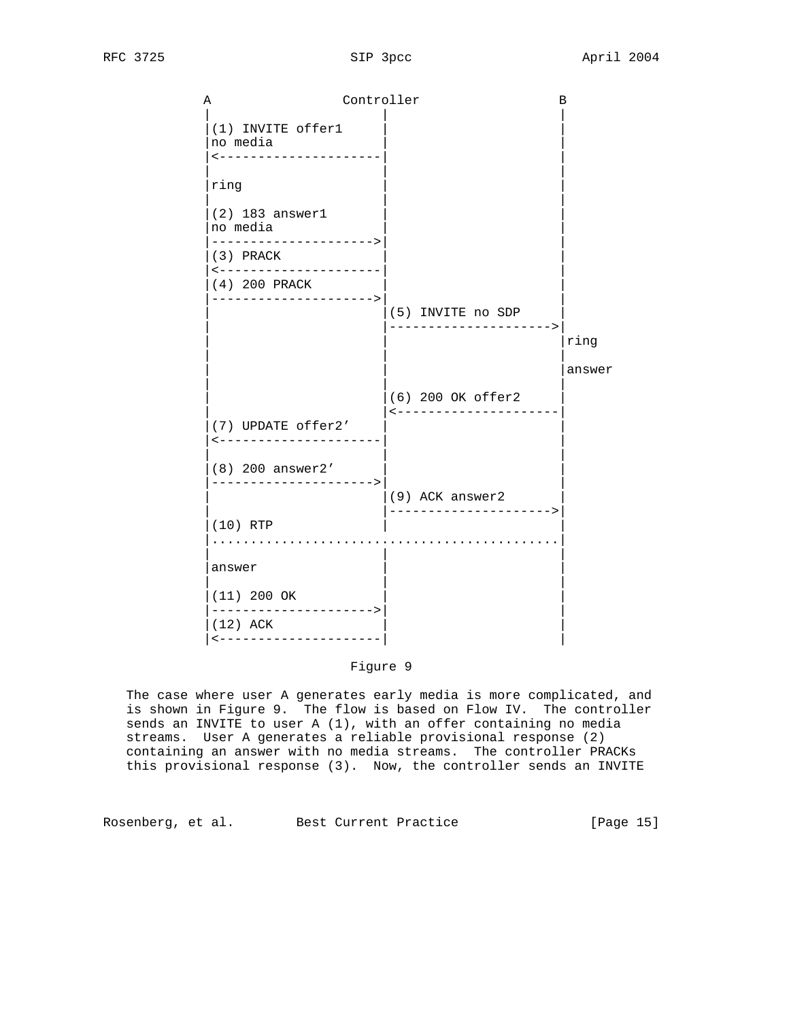A Controller B | | |  $|(1)$  INVITE offer1 no media |<---------------------| | | | |  $|$  ring  $|$  | | |  $(2)$  183 answer1 no media |--------------------->| | (3) PRACK |<---------------------| | (4) 200 PRACK |--------------------->| | | |(5) INVITE no SDP | | |--------------------->| | | |ring | | | | | |answer | | |  $|(6)$  200 OK offer2 | <--------------------(7) UPDATE offer2' |<---------------------| | | | | (8) 200 answer2' |--------------------->| |  $|(9)$  ACK answer2 | |--------------------->| |(10) RTP | | |.............................................| | | |  $|$  answer  $|$  | | |  $(11)$  200 OK |--------------------->| |  $|(12)$  ACK  $|$ |<---------------------| |

# Figure 9

 The case where user A generates early media is more complicated, and is shown in Figure 9. The flow is based on Flow IV. The controller sends an INVITE to user A (1), with an offer containing no media streams. User A generates a reliable provisional response (2) containing an answer with no media streams. The controller PRACKs this provisional response (3). Now, the controller sends an INVITE

Rosenberg, et al. Best Current Practice [Page 15]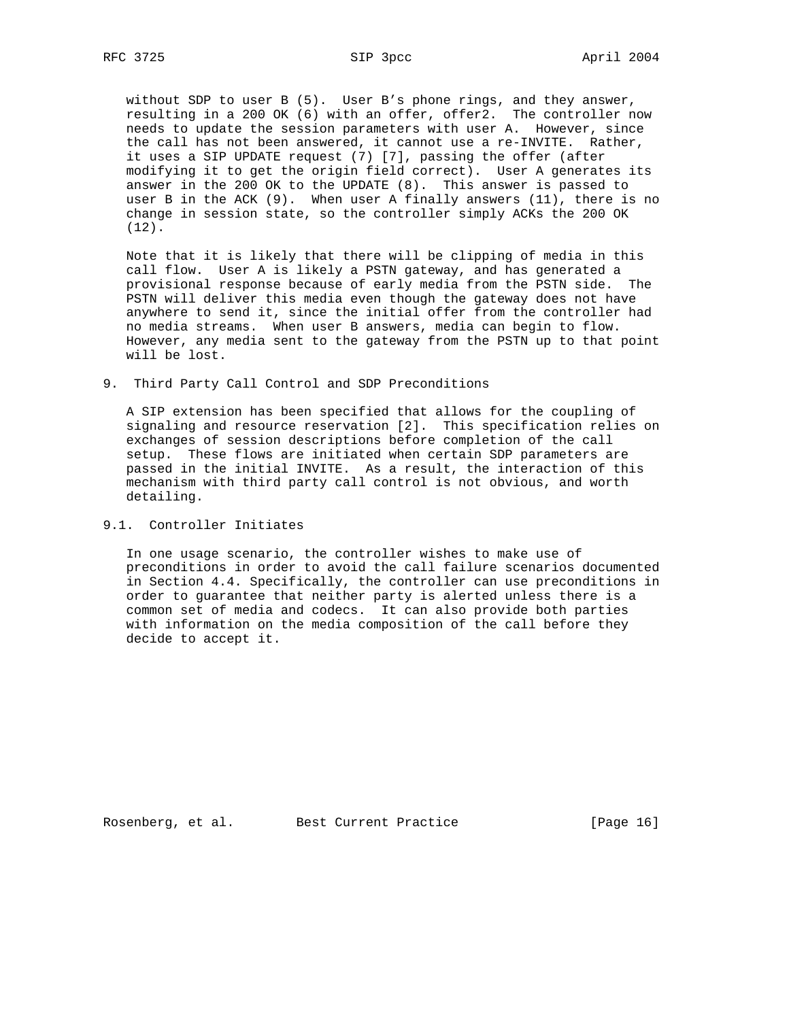without SDP to user B (5). User B's phone rings, and they answer, resulting in a 200 OK (6) with an offer, offer2. The controller now needs to update the session parameters with user A. However, since the call has not been answered, it cannot use a re-INVITE. Rather, it uses a SIP UPDATE request (7) [7], passing the offer (after modifying it to get the origin field correct). User A generates its answer in the 200 OK to the UPDATE (8). This answer is passed to user B in the ACK (9). When user A finally answers (11), there is no change in session state, so the controller simply ACKs the 200 OK (12).

 Note that it is likely that there will be clipping of media in this call flow. User A is likely a PSTN gateway, and has generated a provisional response because of early media from the PSTN side. The PSTN will deliver this media even though the gateway does not have anywhere to send it, since the initial offer from the controller had no media streams. When user B answers, media can begin to flow. However, any media sent to the gateway from the PSTN up to that point will be lost.

9. Third Party Call Control and SDP Preconditions

 A SIP extension has been specified that allows for the coupling of signaling and resource reservation [2]. This specification relies on exchanges of session descriptions before completion of the call setup. These flows are initiated when certain SDP parameters are passed in the initial INVITE. As a result, the interaction of this mechanism with third party call control is not obvious, and worth detailing.

## 9.1. Controller Initiates

 In one usage scenario, the controller wishes to make use of preconditions in order to avoid the call failure scenarios documented in Section 4.4. Specifically, the controller can use preconditions in order to guarantee that neither party is alerted unless there is a common set of media and codecs. It can also provide both parties with information on the media composition of the call before they decide to accept it.

Rosenberg, et al. Best Current Practice [Page 16]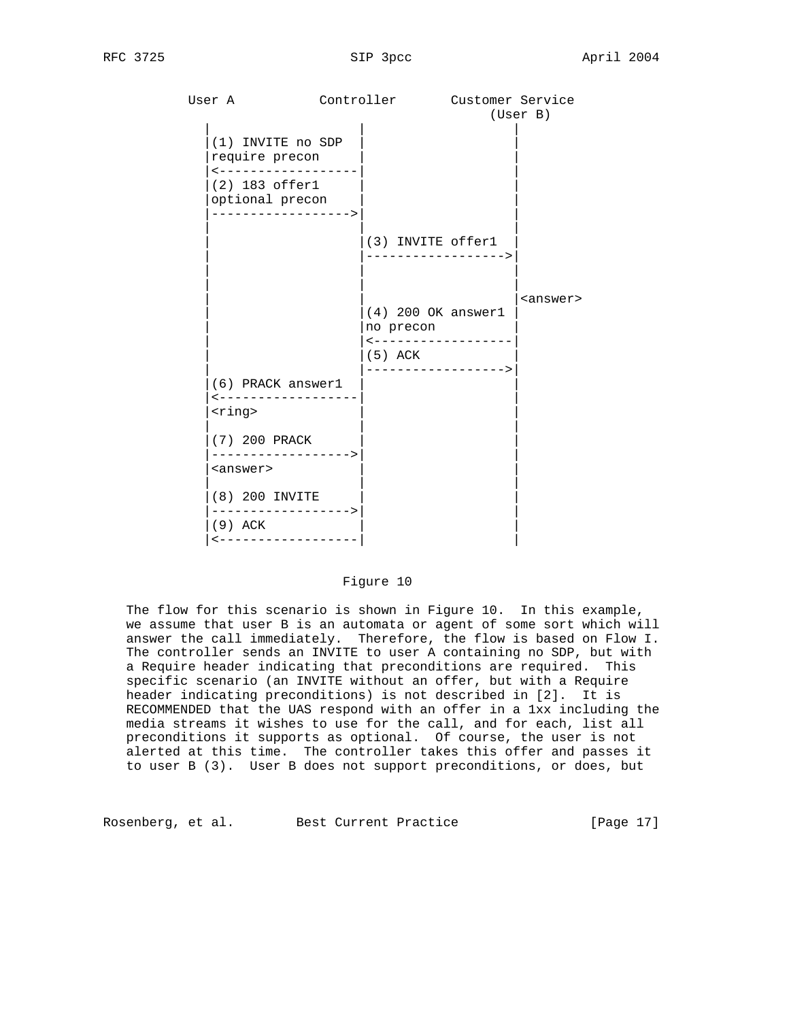| User A Controller Customer Service                                                |  |                   |                                             | (User B)          |
|-----------------------------------------------------------------------------------|--|-------------------|---------------------------------------------|-------------------|
| (1) INVITE no SDP<br>require precon                                               |  |                   |                                             |                   |
| <------------------<br>$(2)$ 183 offerl<br>optional precon<br>------------------> |  |                   |                                             |                   |
|                                                                                   |  | (3) INVITE offer1 | ------------------>                         |                   |
|                                                                                   |  | no precon         | $(4)$ 200 OK answer1<br><------------------ | <answer></answer> |
|                                                                                   |  | $(5)$ ACK         | ----------------->                          |                   |
| (6) PRACK answer1<br><------------------                                          |  |                   |                                             |                   |
| <ring></ring>                                                                     |  |                   |                                             |                   |
| (7) 200 PRACK<br>----------------->                                               |  |                   |                                             |                   |
| <answer></answer>                                                                 |  |                   |                                             |                   |
| (8) 200 INVITE                                                                    |  |                   |                                             |                   |
| (9) ACK<br><-------------------                                                   |  |                   |                                             |                   |

# Figure 10

 The flow for this scenario is shown in Figure 10. In this example, we assume that user B is an automata or agent of some sort which will answer the call immediately. Therefore, the flow is based on Flow I. The controller sends an INVITE to user A containing no SDP, but with a Require header indicating that preconditions are required. This specific scenario (an INVITE without an offer, but with a Require header indicating preconditions) is not described in [2]. It is RECOMMENDED that the UAS respond with an offer in a 1xx including the media streams it wishes to use for the call, and for each, list all preconditions it supports as optional. Of course, the user is not alerted at this time. The controller takes this offer and passes it to user B (3). User B does not support preconditions, or does, but

Rosenberg, et al. Best Current Practice [Page 17]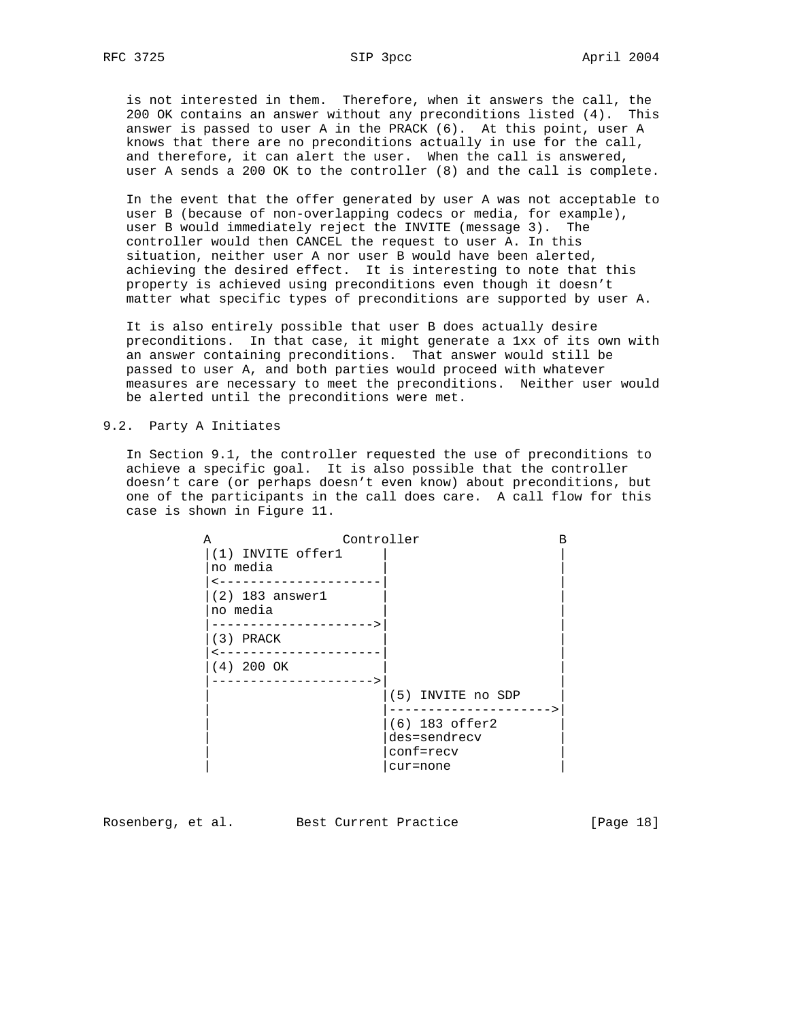is not interested in them. Therefore, when it answers the call, the 200 OK contains an answer without any preconditions listed (4). This answer is passed to user A in the PRACK (6). At this point, user A knows that there are no preconditions actually in use for the call, and therefore, it can alert the user. When the call is answered, user A sends a 200 OK to the controller (8) and the call is complete.

 In the event that the offer generated by user A was not acceptable to user B (because of non-overlapping codecs or media, for example), user B would immediately reject the INVITE (message 3). The controller would then CANCEL the request to user A. In this situation, neither user A nor user B would have been alerted, achieving the desired effect. It is interesting to note that this property is achieved using preconditions even though it doesn't matter what specific types of preconditions are supported by user A.

 It is also entirely possible that user B does actually desire preconditions. In that case, it might generate a 1xx of its own with an answer containing preconditions. That answer would still be passed to user A, and both parties would proceed with whatever measures are necessary to meet the preconditions. Neither user would be alerted until the preconditions were met.

## 9.2. Party A Initiates

 In Section 9.1, the controller requested the use of preconditions to achieve a specific goal. It is also possible that the controller doesn't care (or perhaps doesn't even know) about preconditions, but one of the participants in the call does care. A call flow for this case is shown in Figure 11.

| Α                             | Controller |                                             | в |
|-------------------------------|------------|---------------------------------------------|---|
| (1) INVITE offer1<br>no media |            |                                             |   |
| $(2)$ 183 answer1<br>no media |            |                                             |   |
| $(3)$ PRACK                   |            |                                             |   |
| $(4)$ 200 OK                  |            |                                             |   |
|                               |            | (5) INVITE no SDP                           |   |
|                               |            | (6) 183 offer2<br>des=sendrecv<br>conf=recv |   |
|                               |            | cur=none                                    |   |

Rosenberg, et al. Best Current Practice [Page 18]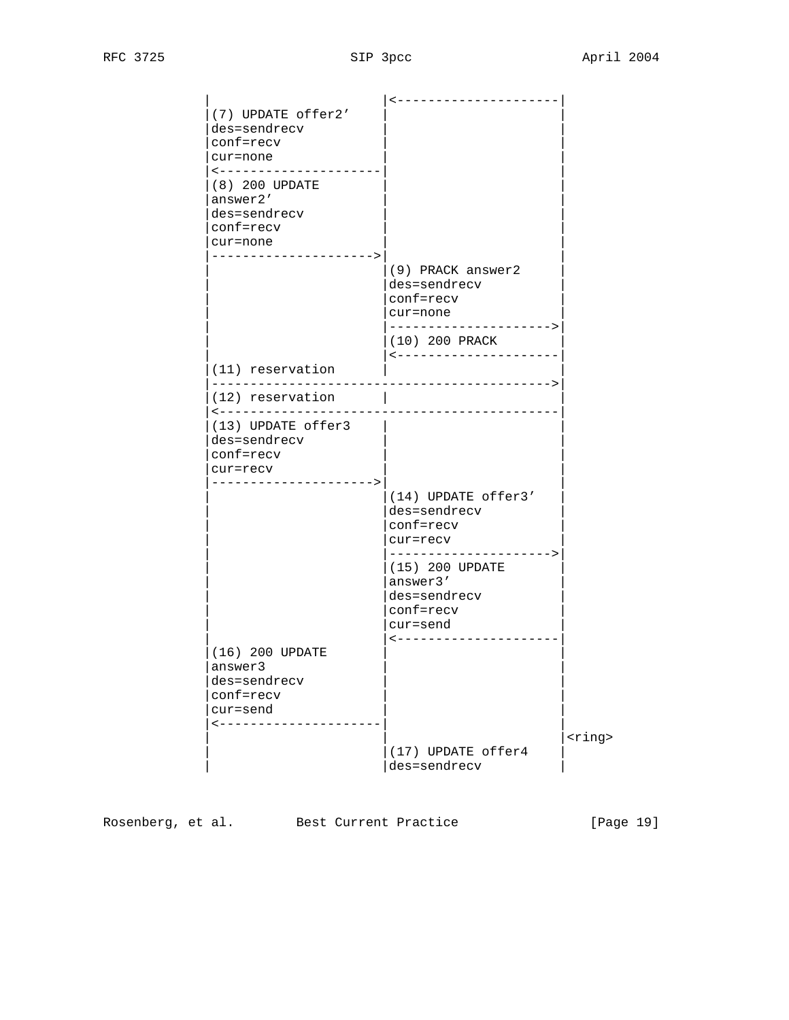| (7) UPDATE offer2'<br>des=sendrecv<br>conf=recv<br>cur=none<br><---------------------<br>$(8)$ 200 UPDATE<br>answer2'<br>des=sendrecv<br>conf=recv<br>cur=none<br>------------- | . _ _ _ _ _ _ _ _ _ _ _ _ _<br>(9) PRACK answer2<br>des=sendrecv<br>conf=recv<br>cur=none                            |               |
|---------------------------------------------------------------------------------------------------------------------------------------------------------------------------------|----------------------------------------------------------------------------------------------------------------------|---------------|
| (11) reservation                                                                                                                                                                | ---------------------><br>(10) 200 PRACK<br><----------------------                                                  |               |
| ---------------------<br>$(12)$ reservation                                                                                                                                     | ---------------------->                                                                                              |               |
| <-------------<br>(13) UPDATE offer3<br>des=sendrecv<br>conf=recv<br>cur=recv                                                                                                   | (14) UPDATE offer3'<br>des=sendrecv<br>conf=recv<br>cur=recv                                                         |               |
| (16) 200 UPDATE<br>answer3<br>des=sendrecv<br>conf=recv<br>$cur= send$<br>---------------------                                                                                 | ----------------------><br>(15) 200 UPDATE<br>answer3'<br>des=sendrecv<br>conf=recv<br>cur=send<br>----------------- | <ring></ring> |
|                                                                                                                                                                                 | (17) UPDATE offer4<br>des=sendrecv                                                                                   |               |

Rosenberg, et al. Best Current Practice [Page 19]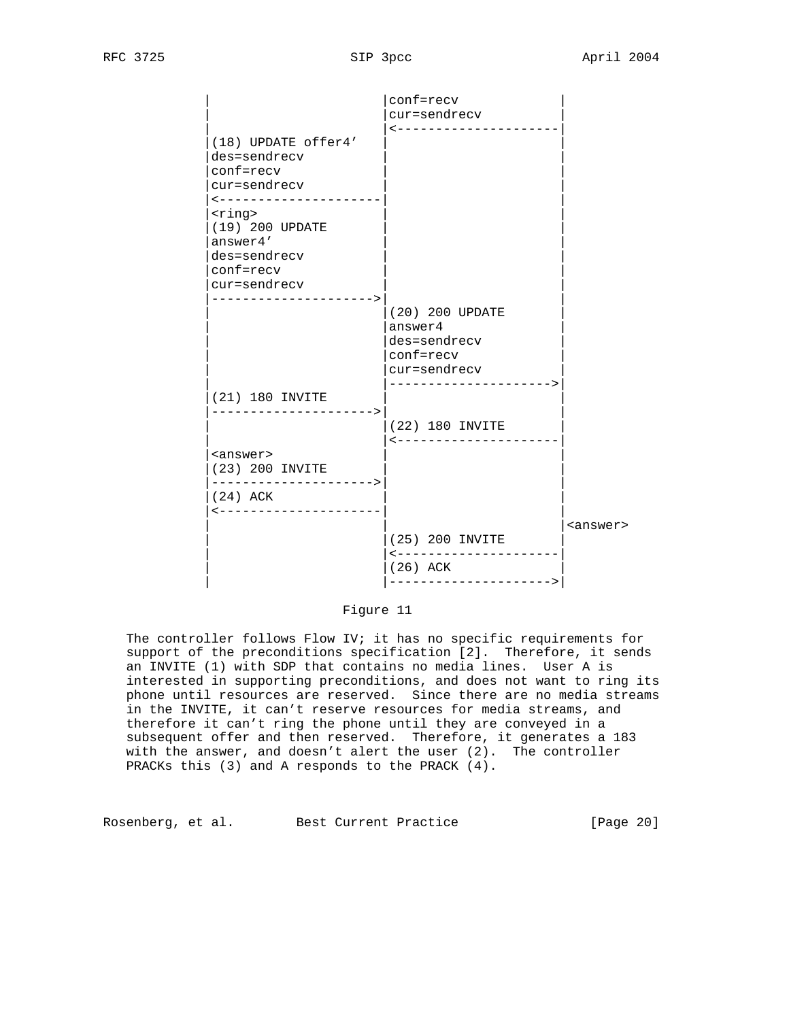|                                                                                          | conf=recv                                                                                         |                   |
|------------------------------------------------------------------------------------------|---------------------------------------------------------------------------------------------------|-------------------|
|                                                                                          | cur=sendrecv                                                                                      |                   |
| (18) UPDATE offer4'<br>des=sendrecv<br>conf=recv<br>cur=sendrecv<br><------------------- | -----------                                                                                       |                   |
| $<$ ring $>$<br>(19) 200 UPDATE<br>answer4'<br>des=sendrecv<br>conf=recv<br>cur=sendrecv |                                                                                                   |                   |
|                                                                                          | (20) 200 UPDATE<br>answer4<br>des=sendrecv<br>conf=recv<br>cur=sendrecv<br>---------------------- |                   |
| (21) 180 INVITE<br>---------->                                                           | (22) 180 INVITE                                                                                   |                   |
| <answer><br/>(23) 200 INVITE<br/>---------------------&gt;</answer>                      |                                                                                                   |                   |
| $(24)$ ACK                                                                               |                                                                                                   |                   |
|                                                                                          | (25) 200 INVITE<br>$\lt - - - - -$                                                                | <answer></answer> |
|                                                                                          | $(26)$ ACK<br>-------------------->                                                               |                   |

# Figure 11

 The controller follows Flow IV; it has no specific requirements for support of the preconditions specification [2]. Therefore, it sends an INVITE (1) with SDP that contains no media lines. User A is interested in supporting preconditions, and does not want to ring its phone until resources are reserved. Since there are no media streams in the INVITE, it can't reserve resources for media streams, and therefore it can't ring the phone until they are conveyed in a subsequent offer and then reserved. Therefore, it generates a 183 with the answer, and doesn't alert the user (2). The controller PRACKs this (3) and A responds to the PRACK (4).

Rosenberg, et al. Best Current Practice [Page 20]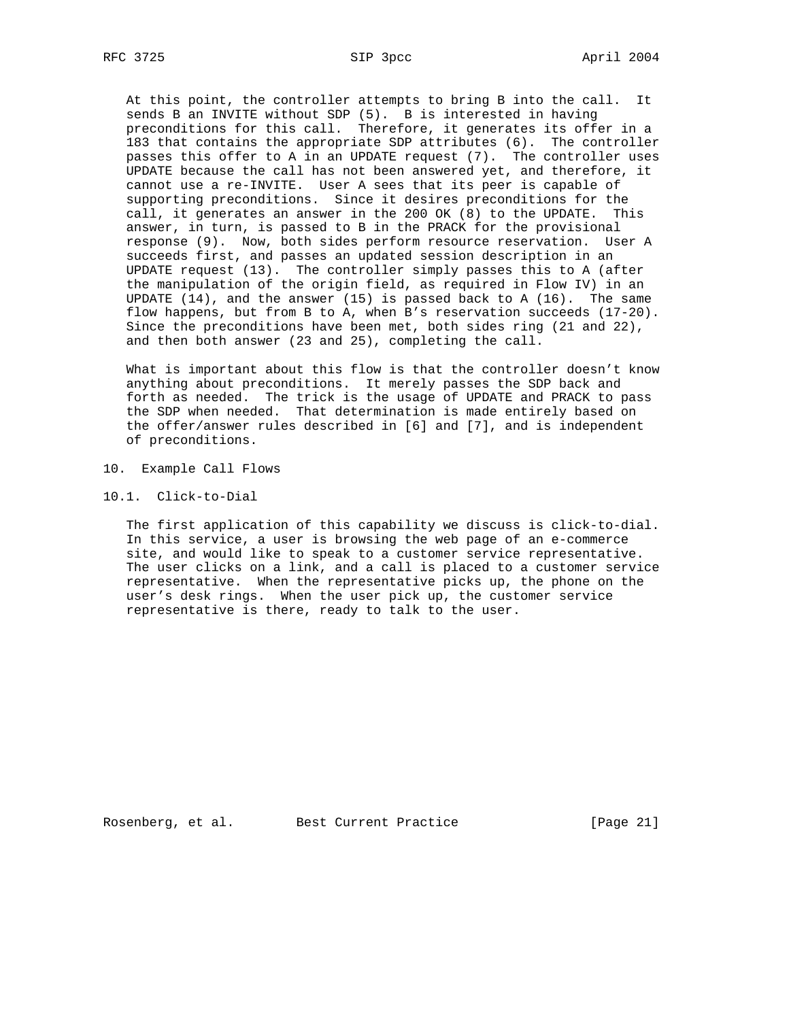At this point, the controller attempts to bring B into the call. It sends B an INVITE without SDP (5). B is interested in having preconditions for this call. Therefore, it generates its offer in a 183 that contains the appropriate SDP attributes (6). The controller passes this offer to A in an UPDATE request (7). The controller uses UPDATE because the call has not been answered yet, and therefore, it cannot use a re-INVITE. User A sees that its peer is capable of supporting preconditions. Since it desires preconditions for the call, it generates an answer in the 200 OK (8) to the UPDATE. This answer, in turn, is passed to B in the PRACK for the provisional response (9). Now, both sides perform resource reservation. User A succeeds first, and passes an updated session description in an UPDATE request (13). The controller simply passes this to A (after the manipulation of the origin field, as required in Flow IV) in an UPDATE (14), and the answer (15) is passed back to A (16). The same flow happens, but from B to A, when B's reservation succeeds (17-20). Since the preconditions have been met, both sides ring (21 and 22), and then both answer (23 and 25), completing the call.

 What is important about this flow is that the controller doesn't know anything about preconditions. It merely passes the SDP back and forth as needed. The trick is the usage of UPDATE and PRACK to pass the SDP when needed. That determination is made entirely based on the offer/answer rules described in [6] and [7], and is independent of preconditions.

- 10. Example Call Flows
- 10.1. Click-to-Dial

 The first application of this capability we discuss is click-to-dial. In this service, a user is browsing the web page of an e-commerce site, and would like to speak to a customer service representative. The user clicks on a link, and a call is placed to a customer service representative. When the representative picks up, the phone on the user's desk rings. When the user pick up, the customer service representative is there, ready to talk to the user.

Rosenberg, et al. Best Current Practice [Page 21]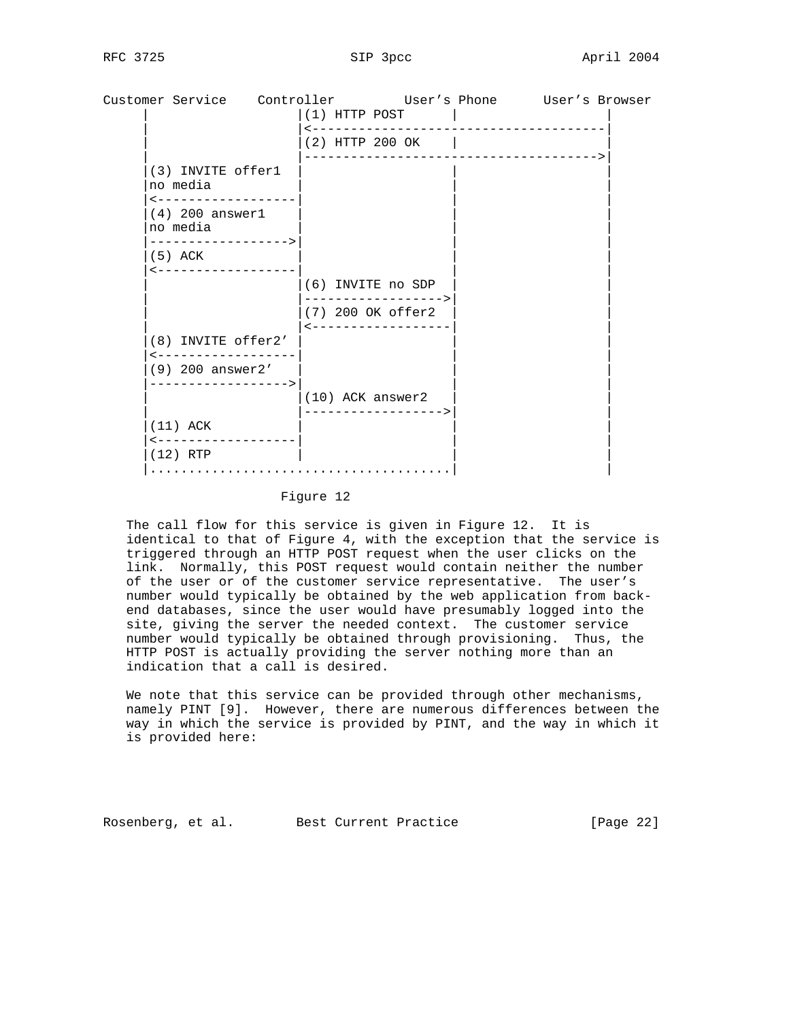|                                                        | (1) HTTP POST                           |                                        |  |
|--------------------------------------------------------|-----------------------------------------|----------------------------------------|--|
|                                                        |                                         | -------------------------------------- |  |
|                                                        | (2) HTTP 200 OK                         |                                        |  |
| (3) INVITE offer1<br>no media<br><------------------   |                                         |                                        |  |
| $(4)$ 200 answerl<br>no media                          |                                         |                                        |  |
| ------------------><br>$(5)$ ACK<br><----------------- |                                         |                                        |  |
|                                                        | (6) INVITE no SDP<br>-----------------> |                                        |  |
|                                                        | (7) 200 OK offer2<br>------------------ |                                        |  |
| (8) INVITE offer2'                                     |                                         |                                        |  |
| (9) 200 answer2'<br>------------------>                |                                         |                                        |  |
|                                                        | $(10)$ ACK answer2                      |                                        |  |
| $(11)$ ACK<br>------------------                       |                                         |                                        |  |
| $(12)$ RTP                                             |                                         |                                        |  |
|                                                        |                                         |                                        |  |

## Figure 12

 The call flow for this service is given in Figure 12. It is identical to that of Figure 4, with the exception that the service is triggered through an HTTP POST request when the user clicks on the link. Normally, this POST request would contain neither the number of the user or of the customer service representative. The user's number would typically be obtained by the web application from back end databases, since the user would have presumably logged into the site, giving the server the needed context. The customer service number would typically be obtained through provisioning. Thus, the HTTP POST is actually providing the server nothing more than an indication that a call is desired.

 We note that this service can be provided through other mechanisms, namely PINT [9]. However, there are numerous differences between the way in which the service is provided by PINT, and the way in which it is provided here:

Rosenberg, et al. Best Current Practice [Page 22]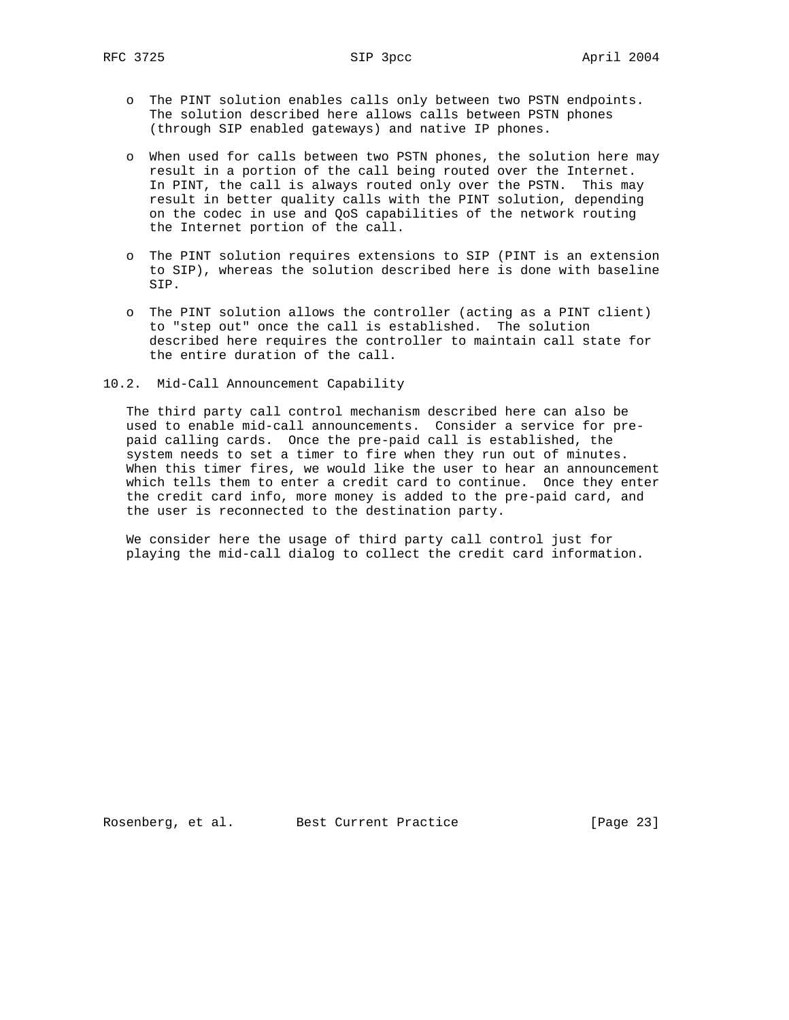- o The PINT solution enables calls only between two PSTN endpoints. The solution described here allows calls between PSTN phones (through SIP enabled gateways) and native IP phones.
- o When used for calls between two PSTN phones, the solution here may result in a portion of the call being routed over the Internet. In PINT, the call is always routed only over the PSTN. This may result in better quality calls with the PINT solution, depending on the codec in use and QoS capabilities of the network routing the Internet portion of the call.
- o The PINT solution requires extensions to SIP (PINT is an extension to SIP), whereas the solution described here is done with baseline SIP.
- o The PINT solution allows the controller (acting as a PINT client) to "step out" once the call is established. The solution described here requires the controller to maintain call state for the entire duration of the call.
- 10.2. Mid-Call Announcement Capability

 The third party call control mechanism described here can also be used to enable mid-call announcements. Consider a service for pre paid calling cards. Once the pre-paid call is established, the system needs to set a timer to fire when they run out of minutes. When this timer fires, we would like the user to hear an announcement which tells them to enter a credit card to continue. Once they enter the credit card info, more money is added to the pre-paid card, and the user is reconnected to the destination party.

 We consider here the usage of third party call control just for playing the mid-call dialog to collect the credit card information.

Rosenberg, et al. Best Current Practice [Page 23]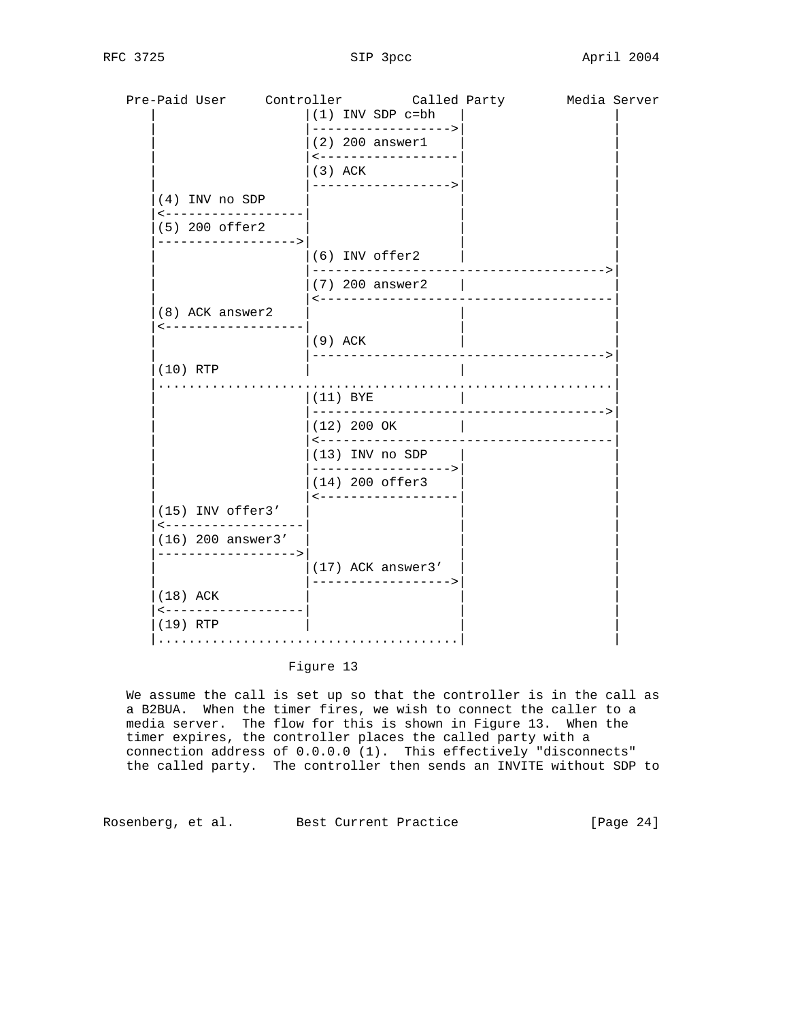|                                          | Pre-Paid User Controller Called Party Media Server<br>$(1)$ INV SDP c=bh |  |
|------------------------------------------|--------------------------------------------------------------------------|--|
|                                          | ------------------><br>$(2)$ 200 answer1<br><------------------          |  |
|                                          | $(3)$ ACK<br>------------------>                                         |  |
| $(4)$ INV no SDP<br><------------------  |                                                                          |  |
| (5) 200 offer2<br>------------------>    |                                                                          |  |
|                                          | (6) INV offer2                                                           |  |
|                                          | $(7)$ 200 answer2  <br><------------------------------------             |  |
| (8) ACK answer2<br>------------------    |                                                                          |  |
|                                          | (9) ACK                                                                  |  |
| $(10)$ RTP                               |                                                                          |  |
| .                                        | $(11)$ BYE                                                               |  |
|                                          | $(12) 200 OK$  <br><------------------------------------                 |  |
|                                          | $(13)$ INV no SDP<br>------------------>                                 |  |
|                                          | (14) 200 offer3<br>------------------                                    |  |
| (15) INV offer3'<br>------------------   |                                                                          |  |
| (16) 200 answer3'<br>------------------> |                                                                          |  |
|                                          | (17) ACK answer3'<br>------------------>                                 |  |
| $(18)$ ACK<br><------------------        |                                                                          |  |
| $(19)$ RTP                               |                                                                          |  |
|                                          |                                                                          |  |

## Figure 13

 We assume the call is set up so that the controller is in the call as a B2BUA. When the timer fires, we wish to connect the caller to a media server. The flow for this is shown in Figure 13. When the timer expires, the controller places the called party with a connection address of 0.0.0.0 (1). This effectively "disconnects" the called party. The controller then sends an INVITE without SDP to

Rosenberg, et al. Best Current Practice [Page 24]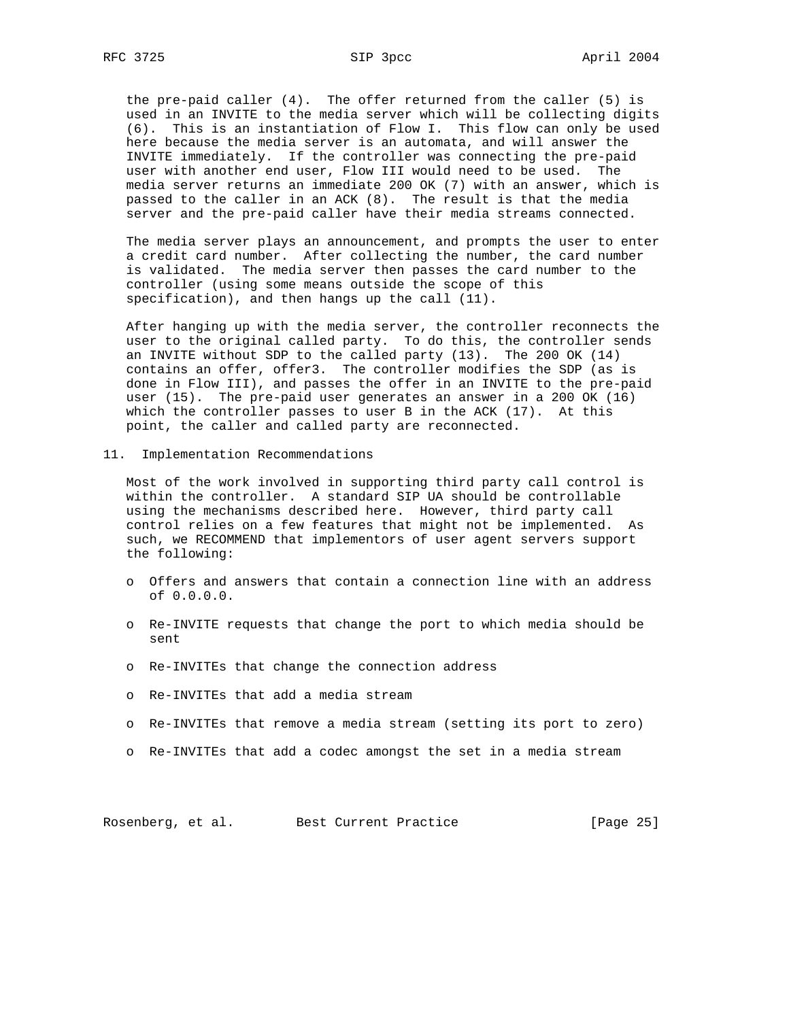the pre-paid caller (4). The offer returned from the caller (5) is used in an INVITE to the media server which will be collecting digits (6). This is an instantiation of Flow I. This flow can only be used here because the media server is an automata, and will answer the INVITE immediately. If the controller was connecting the pre-paid user with another end user, Flow III would need to be used. The media server returns an immediate 200 OK (7) with an answer, which is passed to the caller in an ACK (8). The result is that the media server and the pre-paid caller have their media streams connected.

 The media server plays an announcement, and prompts the user to enter a credit card number. After collecting the number, the card number is validated. The media server then passes the card number to the controller (using some means outside the scope of this specification), and then hangs up the call (11).

 After hanging up with the media server, the controller reconnects the user to the original called party. To do this, the controller sends an INVITE without SDP to the called party (13). The 200 OK (14) contains an offer, offer3. The controller modifies the SDP (as is done in Flow III), and passes the offer in an INVITE to the pre-paid user (15). The pre-paid user generates an answer in a 200 OK (16) which the controller passes to user B in the ACK (17). At this point, the caller and called party are reconnected.

11. Implementation Recommendations

 Most of the work involved in supporting third party call control is within the controller. A standard SIP UA should be controllable using the mechanisms described here. However, third party call control relies on a few features that might not be implemented. As such, we RECOMMEND that implementors of user agent servers support the following:

- o Offers and answers that contain a connection line with an address of 0.0.0.0.
- o Re-INVITE requests that change the port to which media should be sent
- o Re-INVITEs that change the connection address
- o Re-INVITEs that add a media stream
- o Re-INVITEs that remove a media stream (setting its port to zero)
- o Re-INVITEs that add a codec amongst the set in a media stream

Rosenberg, et al. Best Current Practice [Page 25]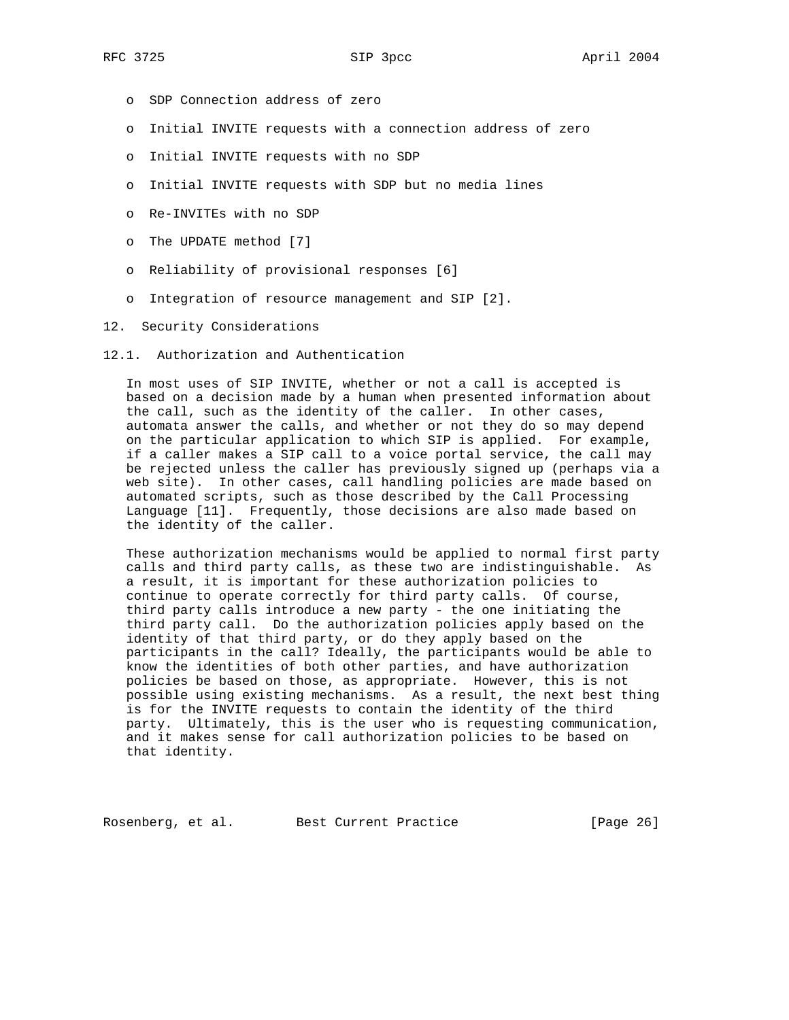- o SDP Connection address of zero
- o Initial INVITE requests with a connection address of zero
- o Initial INVITE requests with no SDP
- o Initial INVITE requests with SDP but no media lines
- o Re-INVITEs with no SDP
- o The UPDATE method [7]
- o Reliability of provisional responses [6]
- o Integration of resource management and SIP [2].

## 12. Security Considerations

12.1. Authorization and Authentication

 In most uses of SIP INVITE, whether or not a call is accepted is based on a decision made by a human when presented information about the call, such as the identity of the caller. In other cases, automata answer the calls, and whether or not they do so may depend on the particular application to which SIP is applied. For example, if a caller makes a SIP call to a voice portal service, the call may be rejected unless the caller has previously signed up (perhaps via a web site). In other cases, call handling policies are made based on automated scripts, such as those described by the Call Processing Language [11]. Frequently, those decisions are also made based on the identity of the caller.

 These authorization mechanisms would be applied to normal first party calls and third party calls, as these two are indistinguishable. As a result, it is important for these authorization policies to continue to operate correctly for third party calls. Of course, third party calls introduce a new party - the one initiating the third party call. Do the authorization policies apply based on the identity of that third party, or do they apply based on the participants in the call? Ideally, the participants would be able to know the identities of both other parties, and have authorization policies be based on those, as appropriate. However, this is not possible using existing mechanisms. As a result, the next best thing is for the INVITE requests to contain the identity of the third party. Ultimately, this is the user who is requesting communication, and it makes sense for call authorization policies to be based on that identity.

Rosenberg, et al. Best Current Practice [Page 26]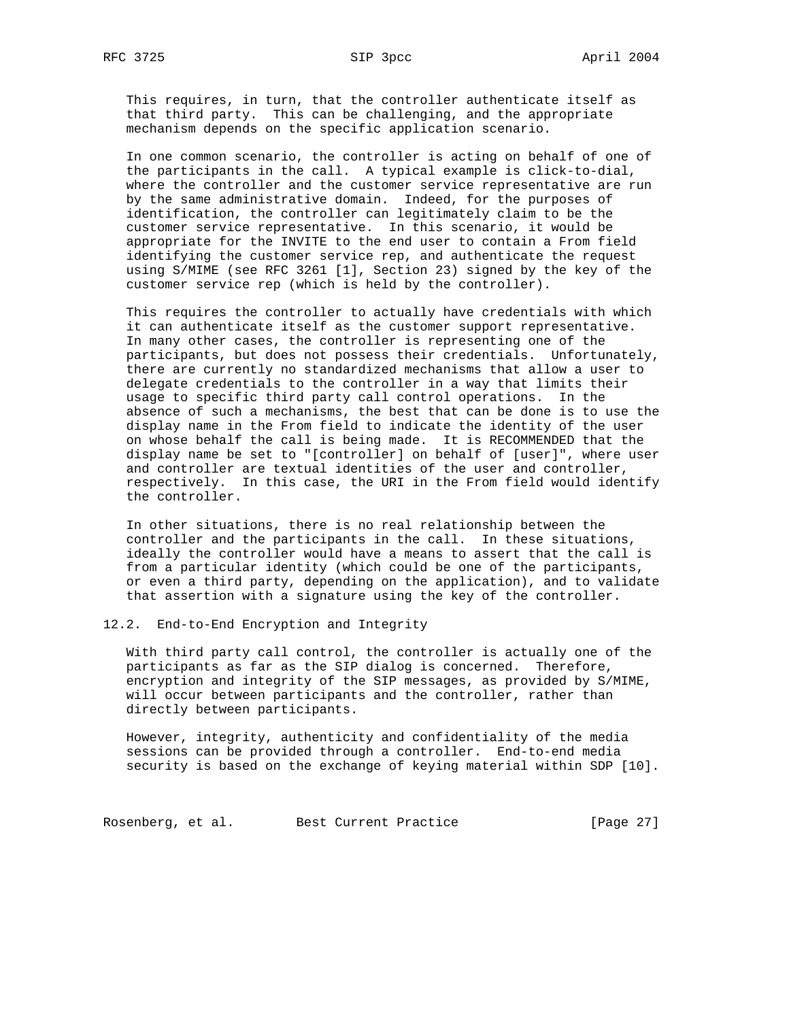This requires, in turn, that the controller authenticate itself as that third party. This can be challenging, and the appropriate mechanism depends on the specific application scenario.

 In one common scenario, the controller is acting on behalf of one of the participants in the call. A typical example is click-to-dial, where the controller and the customer service representative are run by the same administrative domain. Indeed, for the purposes of identification, the controller can legitimately claim to be the customer service representative. In this scenario, it would be appropriate for the INVITE to the end user to contain a From field identifying the customer service rep, and authenticate the request using S/MIME (see RFC 3261 [1], Section 23) signed by the key of the customer service rep (which is held by the controller).

 This requires the controller to actually have credentials with which it can authenticate itself as the customer support representative. In many other cases, the controller is representing one of the participants, but does not possess their credentials. Unfortunately, there are currently no standardized mechanisms that allow a user to delegate credentials to the controller in a way that limits their usage to specific third party call control operations. In the absence of such a mechanisms, the best that can be done is to use the display name in the From field to indicate the identity of the user on whose behalf the call is being made. It is RECOMMENDED that the display name be set to "[controller] on behalf of [user]", where user and controller are textual identities of the user and controller, respectively. In this case, the URI in the From field would identify the controller.

 In other situations, there is no real relationship between the controller and the participants in the call. In these situations, ideally the controller would have a means to assert that the call is from a particular identity (which could be one of the participants, or even a third party, depending on the application), and to validate that assertion with a signature using the key of the controller.

#### 12.2. End-to-End Encryption and Integrity

 With third party call control, the controller is actually one of the participants as far as the SIP dialog is concerned. Therefore, encryption and integrity of the SIP messages, as provided by S/MIME, will occur between participants and the controller, rather than directly between participants.

 However, integrity, authenticity and confidentiality of the media sessions can be provided through a controller. End-to-end media security is based on the exchange of keying material within SDP [10].

Rosenberg, et al. Best Current Practice [Page 27]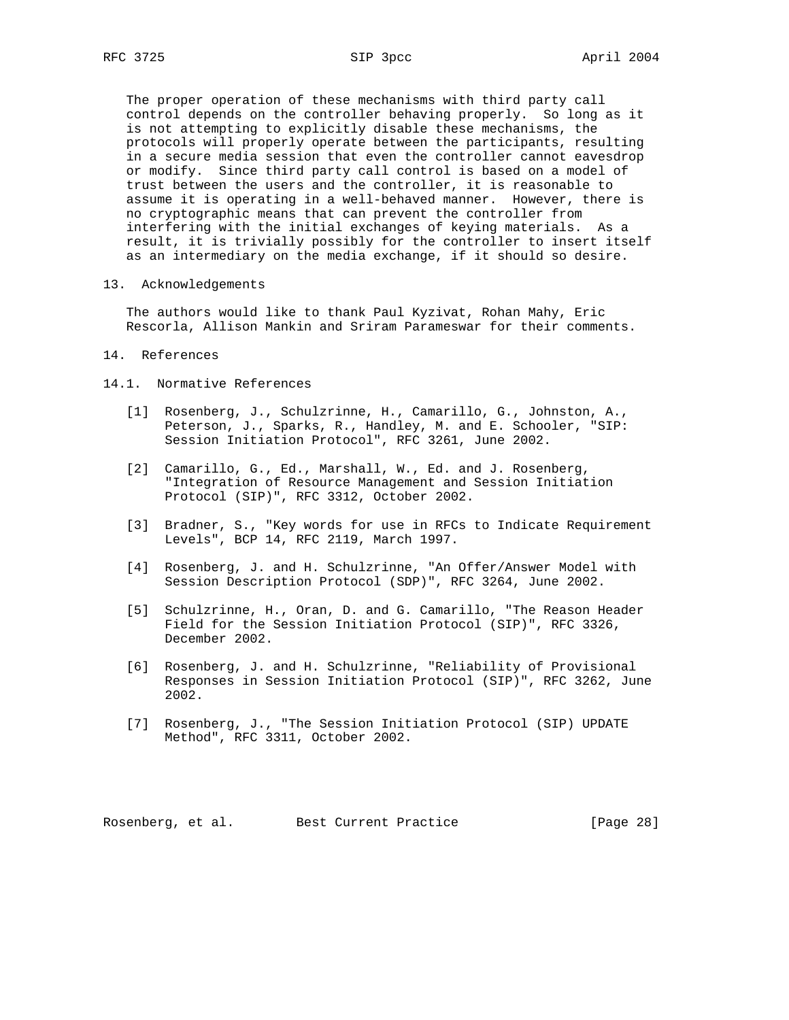The proper operation of these mechanisms with third party call control depends on the controller behaving properly. So long as it is not attempting to explicitly disable these mechanisms, the protocols will properly operate between the participants, resulting in a secure media session that even the controller cannot eavesdrop or modify. Since third party call control is based on a model of trust between the users and the controller, it is reasonable to assume it is operating in a well-behaved manner. However, there is no cryptographic means that can prevent the controller from interfering with the initial exchanges of keying materials. As a result, it is trivially possibly for the controller to insert itself as an intermediary on the media exchange, if it should so desire.

13. Acknowledgements

 The authors would like to thank Paul Kyzivat, Rohan Mahy, Eric Rescorla, Allison Mankin and Sriram Parameswar for their comments.

- 14. References
- 14.1. Normative References
	- [1] Rosenberg, J., Schulzrinne, H., Camarillo, G., Johnston, A., Peterson, J., Sparks, R., Handley, M. and E. Schooler, "SIP: Session Initiation Protocol", RFC 3261, June 2002.
	- [2] Camarillo, G., Ed., Marshall, W., Ed. and J. Rosenberg, "Integration of Resource Management and Session Initiation Protocol (SIP)", RFC 3312, October 2002.
	- [3] Bradner, S., "Key words for use in RFCs to Indicate Requirement Levels", BCP 14, RFC 2119, March 1997.
	- [4] Rosenberg, J. and H. Schulzrinne, "An Offer/Answer Model with Session Description Protocol (SDP)", RFC 3264, June 2002.
	- [5] Schulzrinne, H., Oran, D. and G. Camarillo, "The Reason Header Field for the Session Initiation Protocol (SIP)", RFC 3326, December 2002.
	- [6] Rosenberg, J. and H. Schulzrinne, "Reliability of Provisional Responses in Session Initiation Protocol (SIP)", RFC 3262, June 2002.
	- [7] Rosenberg, J., "The Session Initiation Protocol (SIP) UPDATE Method", RFC 3311, October 2002.

Rosenberg, et al. Best Current Practice [Page 28]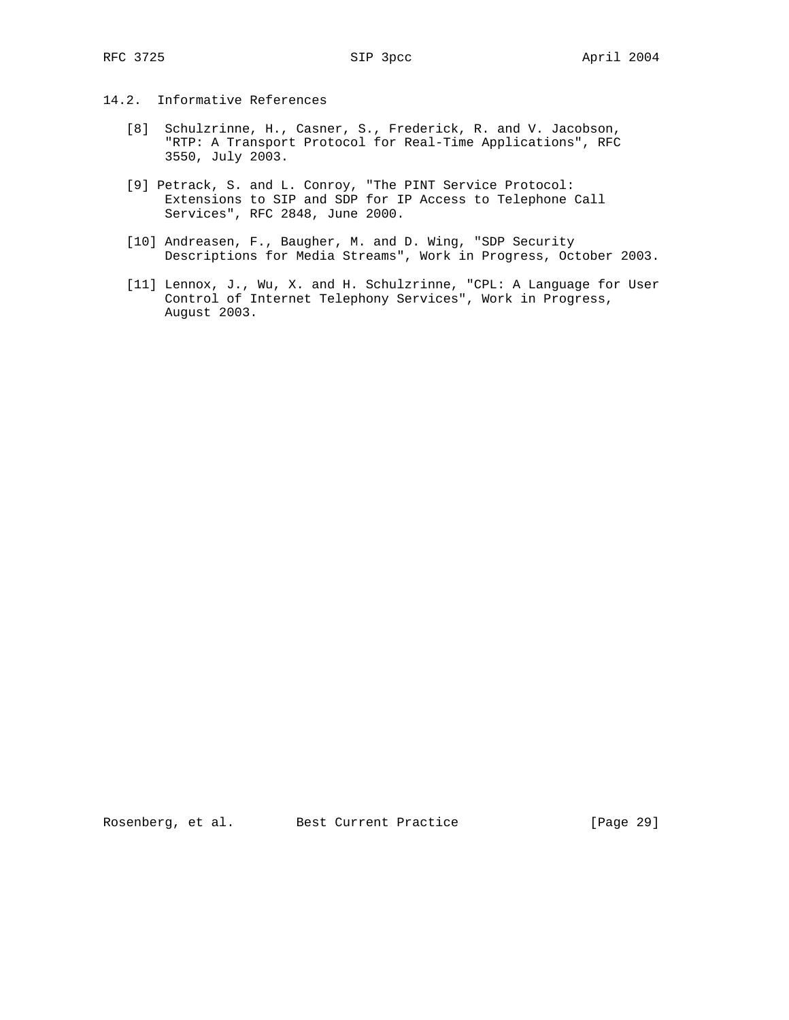# 14.2. Informative References

- [8] Schulzrinne, H., Casner, S., Frederick, R. and V. Jacobson, "RTP: A Transport Protocol for Real-Time Applications", RFC 3550, July 2003.
- [9] Petrack, S. and L. Conroy, "The PINT Service Protocol: Extensions to SIP and SDP for IP Access to Telephone Call Services", RFC 2848, June 2000.
- [10] Andreasen, F., Baugher, M. and D. Wing, "SDP Security Descriptions for Media Streams", Work in Progress, October 2003.
- [11] Lennox, J., Wu, X. and H. Schulzrinne, "CPL: A Language for User Control of Internet Telephony Services", Work in Progress, August 2003.

Rosenberg, et al. Best Current Practice [Page 29]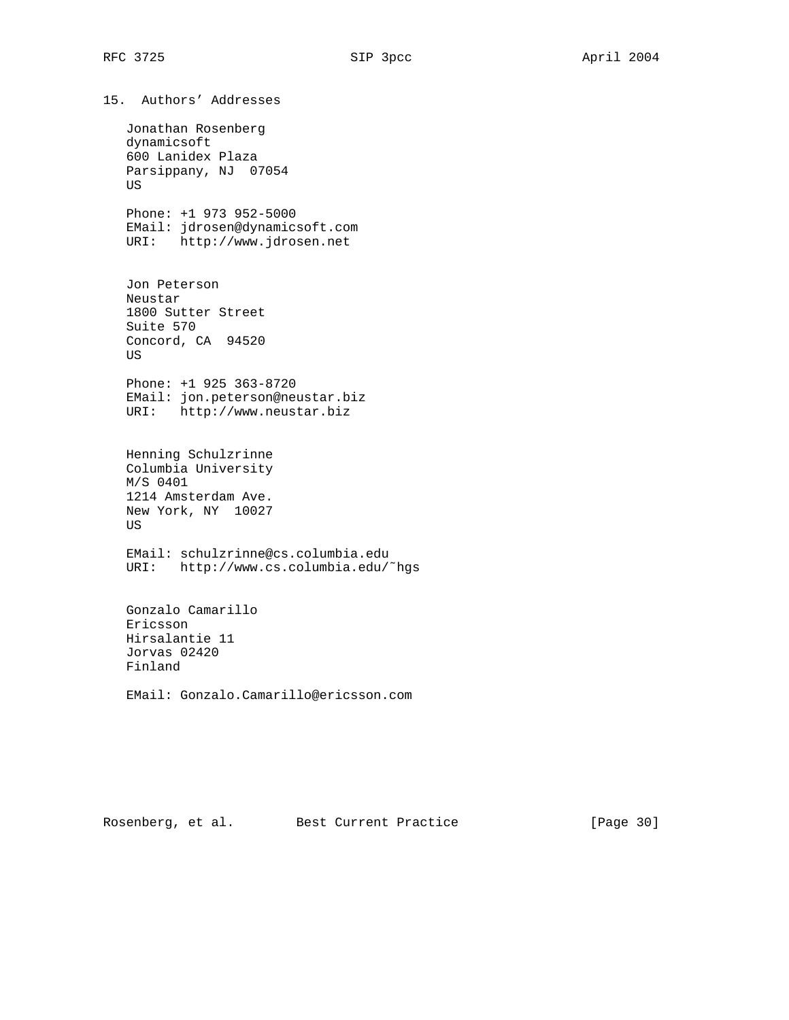15. Authors' Addresses Jonathan Rosenberg dynamicsoft 600 Lanidex Plaza Parsippany, NJ 07054 US Phone: +1 973 952-5000 EMail: jdrosen@dynamicsoft.com URI: http://www.jdrosen.net Jon Peterson Neustar 1800 Sutter Street Suite 570 Concord, CA 94520 US Phone: +1 925 363-8720 EMail: jon.peterson@neustar.biz URI: http://www.neustar.biz Henning Schulzrinne Columbia University M/S 0401 1214 Amsterdam Ave. New York, NY 10027 US EMail: schulzrinne@cs.columbia.edu URI: http://www.cs.columbia.edu/˜hgs Gonzalo Camarillo Ericsson Hirsalantie 11 Jorvas 02420 Finland EMail: Gonzalo.Camarillo@ericsson.com

Rosenberg, et al. Best Current Practice [Page 30]